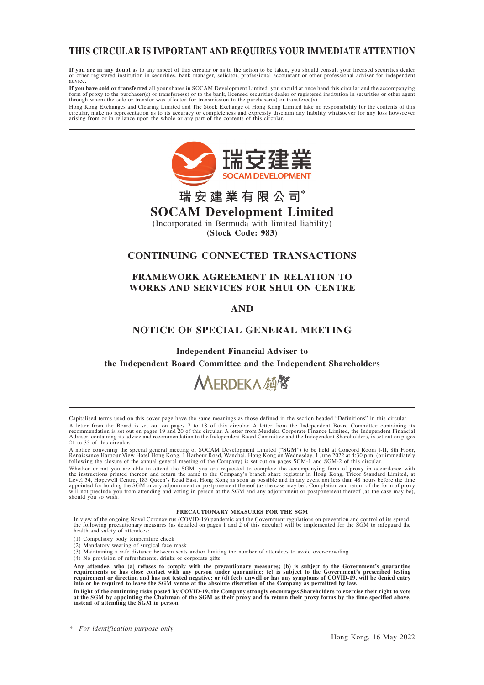## **THIS CIRCULAR IS IMPORTANT AND REQUIRES YOUR IMMEDIATE ATTENTION**

**If you are in any doubt** as to any aspect of this circular or as to the action to be taken, you should consult your licensed securities dealer or other registered institution in securities, bank manager, solicitor, professional accountant or other professional adviser for independent advice.

**If you have sold or transferred** all your shares in SOCAM Development Limited, you should at once hand this circular and the accompanying form of proxy to the purchaser(s) or transferee(s) or to the bank, licensed securities dealer or registered institution in securities or other agent through whom the sale or transfer was effected for transmission to the purchaser(s) or transferee(s).

Hong Kong Exchanges and Clearing Limited and The Stock Exchange of Hong Kong Limited take no responsibility for the contents of this circular, make no representation as to its accuracy or completeness and expressly disclaim any liability whatsoever for any loss howsoever<br>arising from or in reliance upon the whole or any part of the contents of this circ



## **瑞安建業有限公司\* SOCAM Development Limited**

(Incorporated in Bermuda with limited liability) **(Stock Code: 983)**

## **CONTINUING CONNECTED TRANSACTIONS**

## **FRAMEWORK AGREEMENT IN RELATION TO WORKS AND SERVICES FOR SHUI ON CENTRE**

## **AND**

## **NOTICE OF SPECIAL GENERAL MEETING**

**Independent Financial Adviser to**

**the Independent Board Committee and the Independent Shareholders**

# MERDEKA顔留

Capitalised terms used on this cover page have the same meanings as those defined in the section headed "Definitions" in this circular. A letter from the Board is set out on pages 7 to 18 of this circular. A letter from the Independent Board Committee containing its<br>recommendation is set out on pages 19 and 20 of this circular. A letter from Merdeka Corpor Adviser, containing its advice and recommendation to the Independent Board Committee and the Independent Shareholders, is set out on pages 21 to 35 of this circular.

A notice convening the special general meeting of SOCAM Development Limited ("SGM") to be held at Concord Room I-II, 8th Floor,<br>Renaissance Harbour View Hotel Hong Kong, 1 Harbour Road, Wanchai, Hong Kong on Wednesday, 1 J

Whether or not you are able to attend the SGM, you are requested to complete the accompanying form of proxy in accordance with<br>the instructions printed thereon and return the same to the Company's branch share registrar in will not preclude you from attending and voting in person at the SGM and any adjournment or postponement thereof (as the case may be), should you so wish.

#### **PRECAUTIONARY MEASURES FOR THE SGM**

In view of the ongoing Novel Coronavirus (COVID-19) pandemic and the Government regulations on prevention and control of its spread, the following precautionary measures (as detailed on pages 1 and 2 of this circular) will be implemented for the SGM to safeguard the health and safety of attendees:

- (1) Compulsory body temperature check
- (2) Mandatory wearing of surgical face mask
- (3) Maintaining a safe distance between seats and/or limiting the number of attendees to avoid over-crowding
- (4) No provision of refreshments, drinks or corporate gifts

Any attendee, who (a) refuses to comply with the precautionary measures; (b) is subject to the Government's quarantine<br>requirements or has close contact with any person under quarantine; (c) is subject to the Government's **into or be required to leave the SGM venue at the absolute discretion of the Company as permitted by law.**

In light of the continuing risks posted by COVID-19, the Company strongly encourages Shareholders to exercise their right to vote<br>at the SGM by appointing the Chairman of the SGM as their proxy and to return their proxy fo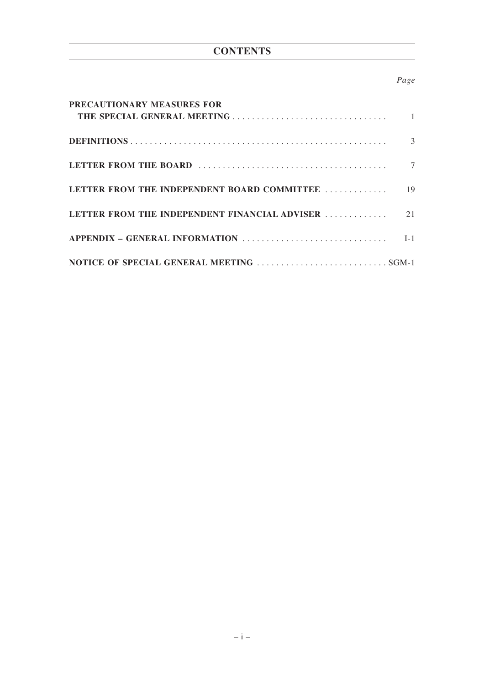## **CONTENTS**

## *Page*

| PRECAUTIONARY MEASURES FOR                    |    |
|-----------------------------------------------|----|
|                                               | 3  |
|                                               |    |
| LETTER FROM THE INDEPENDENT BOARD COMMITTEE   | 19 |
| LETTER FROM THE INDEPENDENT FINANCIAL ADVISER | 21 |
|                                               |    |
|                                               |    |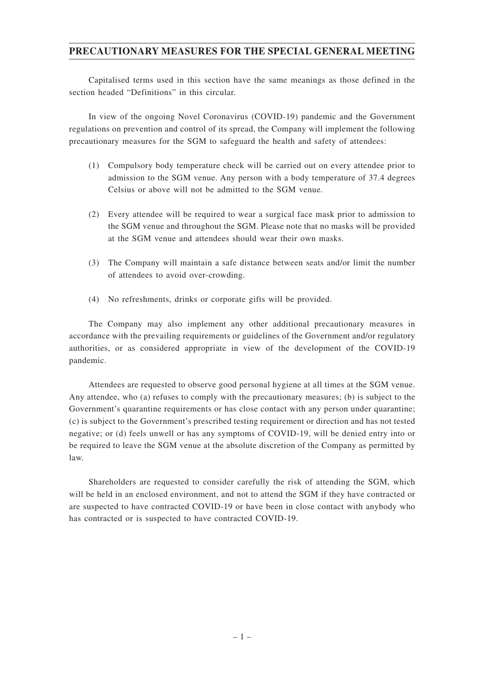## **PRECAUTIONARY MEASURES FOR THE SPECIAL GENERAL MEETING**

Capitalised terms used in this section have the same meanings as those defined in the section headed "Definitions" in this circular.

In view of the ongoing Novel Coronavirus (COVID-19) pandemic and the Government regulations on prevention and control of its spread, the Company will implement the following precautionary measures for the SGM to safeguard the health and safety of attendees:

- (1) Compulsory body temperature check will be carried out on every attendee prior to admission to the SGM venue. Any person with a body temperature of 37.4 degrees Celsius or above will not be admitted to the SGM venue.
- (2) Every attendee will be required to wear a surgical face mask prior to admission to the SGM venue and throughout the SGM. Please note that no masks will be provided at the SGM venue and attendees should wear their own masks.
- (3) The Company will maintain a safe distance between seats and/or limit the number of attendees to avoid over-crowding.
- (4) No refreshments, drinks or corporate gifts will be provided.

The Company may also implement any other additional precautionary measures in accordance with the prevailing requirements or guidelines of the Government and/or regulatory authorities, or as considered appropriate in view of the development of the COVID-19 pandemic.

Attendees are requested to observe good personal hygiene at all times at the SGM venue. Any attendee, who (a) refuses to comply with the precautionary measures; (b) is subject to the Government's quarantine requirements or has close contact with any person under quarantine; (c) is subject to the Government's prescribed testing requirement or direction and has not tested negative; or (d) feels unwell or has any symptoms of COVID-19, will be denied entry into or be required to leave the SGM venue at the absolute discretion of the Company as permitted by law.

Shareholders are requested to consider carefully the risk of attending the SGM, which will be held in an enclosed environment, and not to attend the SGM if they have contracted or are suspected to have contracted COVID-19 or have been in close contact with anybody who has contracted or is suspected to have contracted COVID-19.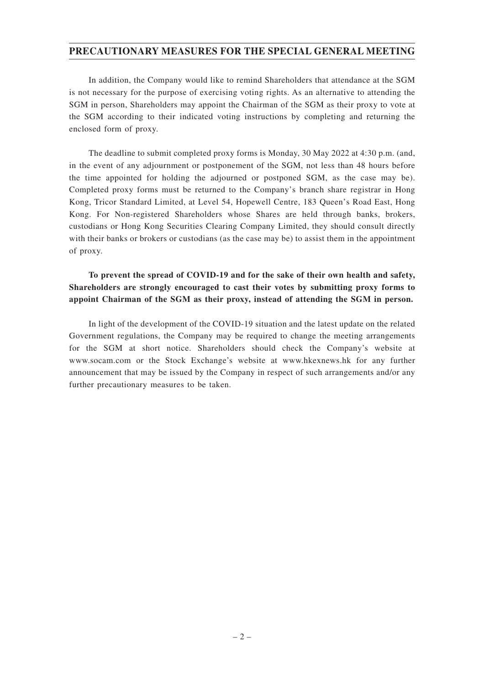## **PRECAUTIONARY MEASURES FOR THE SPECIAL GENERAL MEETING**

In addition, the Company would like to remind Shareholders that attendance at the SGM is not necessary for the purpose of exercising voting rights. As an alternative to attending the SGM in person, Shareholders may appoint the Chairman of the SGM as their proxy to vote at the SGM according to their indicated voting instructions by completing and returning the enclosed form of proxy.

The deadline to submit completed proxy forms is Monday, 30 May 2022 at 4:30 p.m. (and, in the event of any adjournment or postponement of the SGM, not less than 48 hours before the time appointed for holding the adjourned or postponed SGM, as the case may be). Completed proxy forms must be returned to the Company's branch share registrar in Hong Kong, Tricor Standard Limited, at Level 54, Hopewell Centre, 183 Queen's Road East, Hong Kong. For Non-registered Shareholders whose Shares are held through banks, brokers, custodians or Hong Kong Securities Clearing Company Limited, they should consult directly with their banks or brokers or custodians (as the case may be) to assist them in the appointment of proxy.

## **To prevent the spread of COVID-19 and for the sake of their own health and safety, Shareholders are strongly encouraged to cast their votes by submitting proxy forms to appoint Chairman of the SGM as their proxy, instead of attending the SGM in person.**

In light of the development of the COVID-19 situation and the latest update on the related Government regulations, the Company may be required to change the meeting arrangements for the SGM at short notice. Shareholders should check the Company's website at www.socam.com or the Stock Exchange's website at www.hkexnews.hk for any further announcement that may be issued by the Company in respect of such arrangements and/or any further precautionary measures to be taken.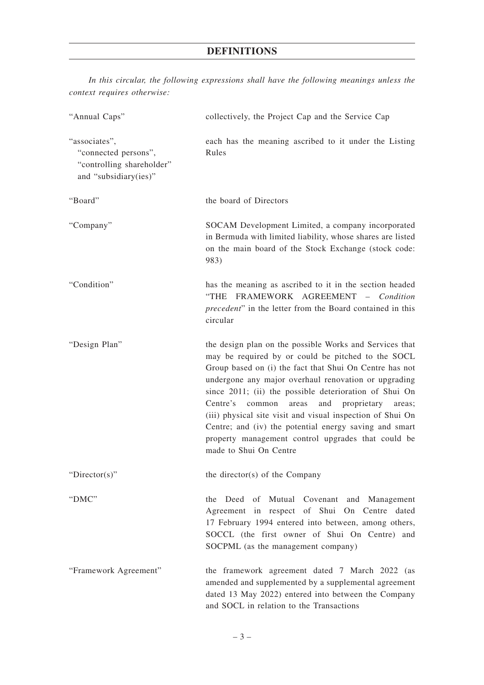| "Annual Caps"                                                                               | collectively, the Project Cap and the Service Cap                                                                                                                                                                                                                                                                                                                                                                                                                                                                                                        |
|---------------------------------------------------------------------------------------------|----------------------------------------------------------------------------------------------------------------------------------------------------------------------------------------------------------------------------------------------------------------------------------------------------------------------------------------------------------------------------------------------------------------------------------------------------------------------------------------------------------------------------------------------------------|
| "associates",<br>"connected persons",<br>"controlling shareholder"<br>and "subsidiary(ies)" | each has the meaning ascribed to it under the Listing<br>Rules                                                                                                                                                                                                                                                                                                                                                                                                                                                                                           |
| "Board"                                                                                     | the board of Directors                                                                                                                                                                                                                                                                                                                                                                                                                                                                                                                                   |
| "Company"                                                                                   | SOCAM Development Limited, a company incorporated<br>in Bermuda with limited liability, whose shares are listed<br>on the main board of the Stock Exchange (stock code:<br>983)                                                                                                                                                                                                                                                                                                                                                                          |
| "Condition"                                                                                 | has the meaning as ascribed to it in the section headed<br>"THE FRAMEWORK AGREEMENT - Condition<br><i>precedent</i> " in the letter from the Board contained in this<br>circular                                                                                                                                                                                                                                                                                                                                                                         |
| "Design Plan"                                                                               | the design plan on the possible Works and Services that<br>may be required by or could be pitched to the SOCL<br>Group based on (i) the fact that Shui On Centre has not<br>undergone any major overhaul renovation or upgrading<br>since 2011; (ii) the possible deterioration of Shui On<br>Centre's common areas<br>and proprietary<br>areas;<br>(iii) physical site visit and visual inspection of Shui On<br>Centre; and (iv) the potential energy saving and smart<br>property management control upgrades that could be<br>made to Shui On Centre |
| " $Directory$ "                                                                             | the director(s) of the Company                                                                                                                                                                                                                                                                                                                                                                                                                                                                                                                           |
| "DMC"                                                                                       | the Deed of Mutual Covenant and Management<br>Agreement in respect of Shui On Centre dated<br>17 February 1994 entered into between, among others,<br>SOCCL (the first owner of Shui On Centre) and<br>SOCPML (as the management company)                                                                                                                                                                                                                                                                                                                |
| "Framework Agreement"                                                                       | the framework agreement dated 7 March 2022 (as<br>amended and supplemented by a supplemental agreement<br>dated 13 May 2022) entered into between the Company<br>and SOCL in relation to the Transactions                                                                                                                                                                                                                                                                                                                                                |

*In this circular, the following expressions shall have the following meanings unless the context requires otherwise:*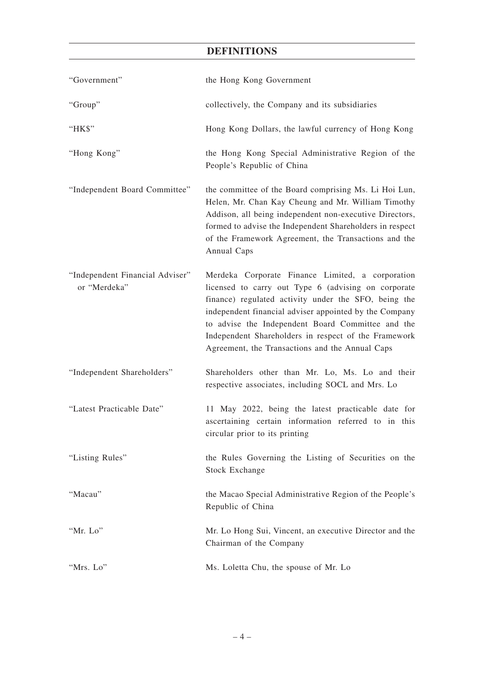| "Government"                                    | the Hong Kong Government                                                                                                                                                                                                                                                                                                                                                                  |
|-------------------------------------------------|-------------------------------------------------------------------------------------------------------------------------------------------------------------------------------------------------------------------------------------------------------------------------------------------------------------------------------------------------------------------------------------------|
| "Group"                                         | collectively, the Company and its subsidiaries                                                                                                                                                                                                                                                                                                                                            |
| "HK\$"                                          | Hong Kong Dollars, the lawful currency of Hong Kong                                                                                                                                                                                                                                                                                                                                       |
| "Hong Kong"                                     | the Hong Kong Special Administrative Region of the<br>People's Republic of China                                                                                                                                                                                                                                                                                                          |
| "Independent Board Committee"                   | the committee of the Board comprising Ms. Li Hoi Lun,<br>Helen, Mr. Chan Kay Cheung and Mr. William Timothy<br>Addison, all being independent non-executive Directors,<br>formed to advise the Independent Shareholders in respect<br>of the Framework Agreement, the Transactions and the<br>Annual Caps                                                                                 |
| "Independent Financial Adviser"<br>or "Merdeka" | Merdeka Corporate Finance Limited, a corporation<br>licensed to carry out Type 6 (advising on corporate<br>finance) regulated activity under the SFO, being the<br>independent financial adviser appointed by the Company<br>to advise the Independent Board Committee and the<br>Independent Shareholders in respect of the Framework<br>Agreement, the Transactions and the Annual Caps |
| "Independent Shareholders"                      | Shareholders other than Mr. Lo, Ms. Lo and their<br>respective associates, including SOCL and Mrs. Lo                                                                                                                                                                                                                                                                                     |
| "Latest Practicable Date"                       | 11 May 2022, being the latest practicable date for<br>ascertaining certain information referred to in this<br>circular prior to its printing                                                                                                                                                                                                                                              |
| "Listing Rules"                                 | the Rules Governing the Listing of Securities on the<br><b>Stock Exchange</b>                                                                                                                                                                                                                                                                                                             |
| "Macau"                                         | the Macao Special Administrative Region of the People's<br>Republic of China                                                                                                                                                                                                                                                                                                              |
| "Mr. Lo"                                        | Mr. Lo Hong Sui, Vincent, an executive Director and the<br>Chairman of the Company                                                                                                                                                                                                                                                                                                        |
| "Mrs. Lo"                                       | Ms. Loletta Chu, the spouse of Mr. Lo                                                                                                                                                                                                                                                                                                                                                     |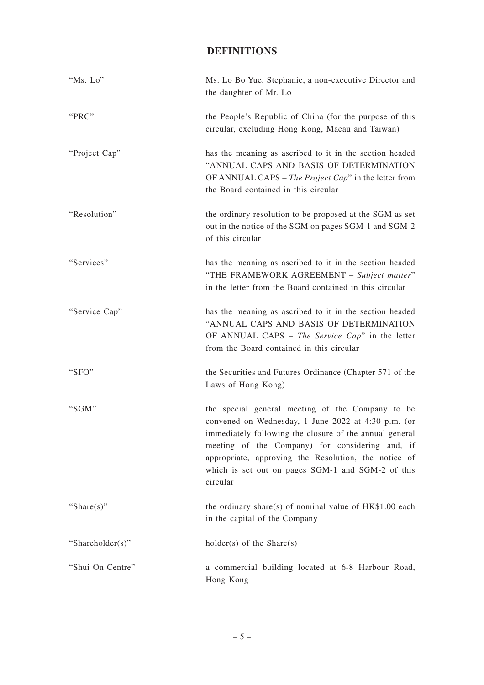| "Ms. Lo"         | Ms. Lo Bo Yue, Stephanie, a non-executive Director and<br>the daughter of Mr. Lo                                                                                                                                                                                                                                                               |
|------------------|------------------------------------------------------------------------------------------------------------------------------------------------------------------------------------------------------------------------------------------------------------------------------------------------------------------------------------------------|
| "PRC"            | the People's Republic of China (for the purpose of this<br>circular, excluding Hong Kong, Macau and Taiwan)                                                                                                                                                                                                                                    |
| "Project Cap"    | has the meaning as ascribed to it in the section headed<br>"ANNUAL CAPS AND BASIS OF DETERMINATION<br>OF ANNUAL CAPS – The Project Cap" in the letter from<br>the Board contained in this circular                                                                                                                                             |
| "Resolution"     | the ordinary resolution to be proposed at the SGM as set<br>out in the notice of the SGM on pages SGM-1 and SGM-2<br>of this circular                                                                                                                                                                                                          |
| "Services"       | has the meaning as ascribed to it in the section headed<br>"THE FRAMEWORK AGREEMENT - Subject matter"<br>in the letter from the Board contained in this circular                                                                                                                                                                               |
| "Service Cap"    | has the meaning as ascribed to it in the section headed<br>"ANNUAL CAPS AND BASIS OF DETERMINATION<br>OF ANNUAL CAPS - The Service Cap" in the letter<br>from the Board contained in this circular                                                                                                                                             |
| "SFO"            | the Securities and Futures Ordinance (Chapter 571 of the<br>Laws of Hong Kong)                                                                                                                                                                                                                                                                 |
| " $SGM"$         | the special general meeting of the Company to be<br>convened on Wednesday, 1 June 2022 at 4:30 p.m. (or<br>immediately following the closure of the annual general<br>meeting of the Company) for considering and, if<br>appropriate, approving the Resolution, the notice of<br>which is set out on pages SGM-1 and SGM-2 of this<br>circular |
| "Share $(s)$ "   | the ordinary share(s) of nominal value of $HK$1.00$ each<br>in the capital of the Company                                                                                                                                                                                                                                                      |
| "Shareholder(s)" | $holder(s)$ of the Share(s)                                                                                                                                                                                                                                                                                                                    |
| "Shui On Centre" | a commercial building located at 6-8 Harbour Road,<br>Hong Kong                                                                                                                                                                                                                                                                                |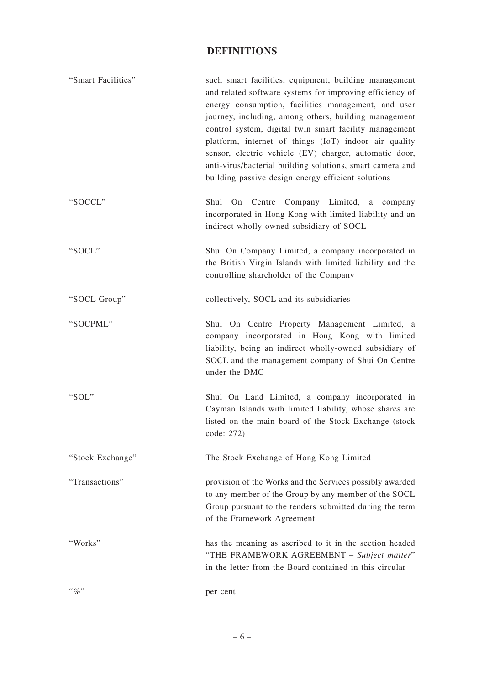| "Smart Facilities" | such smart facilities, equipment, building management<br>and related software systems for improving efficiency of<br>energy consumption, facilities management, and user<br>journey, including, among others, building management<br>control system, digital twin smart facility management<br>platform, internet of things (IoT) indoor air quality<br>sensor, electric vehicle (EV) charger, automatic door,<br>anti-virus/bacterial building solutions, smart camera and<br>building passive design energy efficient solutions |
|--------------------|-----------------------------------------------------------------------------------------------------------------------------------------------------------------------------------------------------------------------------------------------------------------------------------------------------------------------------------------------------------------------------------------------------------------------------------------------------------------------------------------------------------------------------------|
| "SOCCL"            | Shui On Centre Company Limited, a company<br>incorporated in Hong Kong with limited liability and an<br>indirect wholly-owned subsidiary of SOCL                                                                                                                                                                                                                                                                                                                                                                                  |
| "SOCL"             | Shui On Company Limited, a company incorporated in<br>the British Virgin Islands with limited liability and the<br>controlling shareholder of the Company                                                                                                                                                                                                                                                                                                                                                                         |
| "SOCL Group"       | collectively, SOCL and its subsidiaries                                                                                                                                                                                                                                                                                                                                                                                                                                                                                           |
| "SOCPML"           | Shui On Centre Property Management Limited, a<br>company incorporated in Hong Kong with limited<br>liability, being an indirect wholly-owned subsidiary of<br>SOCL and the management company of Shui On Centre<br>under the DMC                                                                                                                                                                                                                                                                                                  |
| "SOL"              | Shui On Land Limited, a company incorporated in<br>Cayman Islands with limited liability, whose shares are<br>listed on the main board of the Stock Exchange (stock<br>code: 272)                                                                                                                                                                                                                                                                                                                                                 |
| "Stock Exchange"   | The Stock Exchange of Hong Kong Limited                                                                                                                                                                                                                                                                                                                                                                                                                                                                                           |
| "Transactions"     | provision of the Works and the Services possibly awarded<br>to any member of the Group by any member of the SOCL<br>Group pursuant to the tenders submitted during the term<br>of the Framework Agreement                                                                                                                                                                                                                                                                                                                         |
| "Works"            | has the meaning as ascribed to it in the section headed<br>"THE FRAMEWORK AGREEMENT - Subject matter"<br>in the letter from the Board contained in this circular                                                                                                                                                                                                                                                                                                                                                                  |
| $``\%"$            | per cent                                                                                                                                                                                                                                                                                                                                                                                                                                                                                                                          |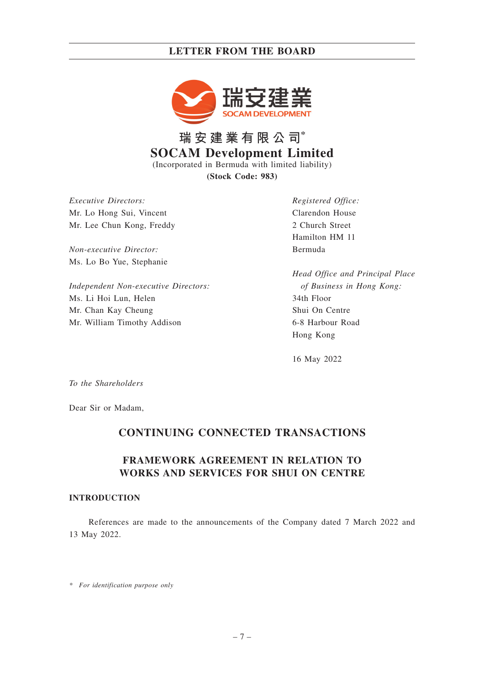

**瑞安建業有限公司\* SOCAM Development Limited** (Incorporated in Bermuda with limited liability) **(Stock Code: 983)**

*Executive Directors:* Mr. Lo Hong Sui, Vincent Mr. Lee Chun Kong, Freddy

*Non-executive Director:* Ms. Lo Bo Yue, Stephanie

*Independent Non-executive Directors:* Ms. Li Hoi Lun, Helen Mr. Chan Kay Cheung Mr. William Timothy Addison

*Registered Office:* Clarendon House 2 Church Street Hamilton HM 11 Bermuda

*Head Office and Principal Place of Business in Hong Kong:* 34th Floor Shui On Centre 6-8 Harbour Road Hong Kong

16 May 2022

*To the Shareholders*

Dear Sir or Madam,

## **CONTINUING CONNECTED TRANSACTIONS**

## **FRAMEWORK AGREEMENT IN RELATION TO WORKS AND SERVICES FOR SHUI ON CENTRE**

#### **INTRODUCTION**

References are made to the announcements of the Company dated 7 March 2022 and 13 May 2022.

*\* For identification purpose only*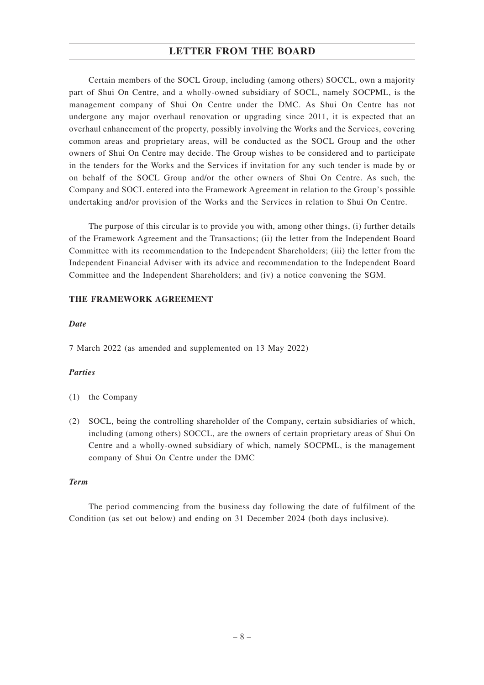Certain members of the SOCL Group, including (among others) SOCCL, own a majority part of Shui On Centre, and a wholly-owned subsidiary of SOCL, namely SOCPML, is the management company of Shui On Centre under the DMC. As Shui On Centre has not undergone any major overhaul renovation or upgrading since 2011, it is expected that an overhaul enhancement of the property, possibly involving the Works and the Services, covering common areas and proprietary areas, will be conducted as the SOCL Group and the other owners of Shui On Centre may decide. The Group wishes to be considered and to participate in the tenders for the Works and the Services if invitation for any such tender is made by or on behalf of the SOCL Group and/or the other owners of Shui On Centre. As such, the Company and SOCL entered into the Framework Agreement in relation to the Group's possible undertaking and/or provision of the Works and the Services in relation to Shui On Centre.

The purpose of this circular is to provide you with, among other things, (i) further details of the Framework Agreement and the Transactions; (ii) the letter from the Independent Board Committee with its recommendation to the Independent Shareholders; (iii) the letter from the Independent Financial Adviser with its advice and recommendation to the Independent Board Committee and the Independent Shareholders; and (iv) a notice convening the SGM.

### **THE FRAMEWORK AGREEMENT**

#### *Date*

7 March 2022 (as amended and supplemented on 13 May 2022)

### *Parties*

- (1) the Company
- (2) SOCL, being the controlling shareholder of the Company, certain subsidiaries of which, including (among others) SOCCL, are the owners of certain proprietary areas of Shui On Centre and a wholly-owned subsidiary of which, namely SOCPML, is the management company of Shui On Centre under the DMC

#### *Term*

The period commencing from the business day following the date of fulfilment of the Condition (as set out below) and ending on 31 December 2024 (both days inclusive).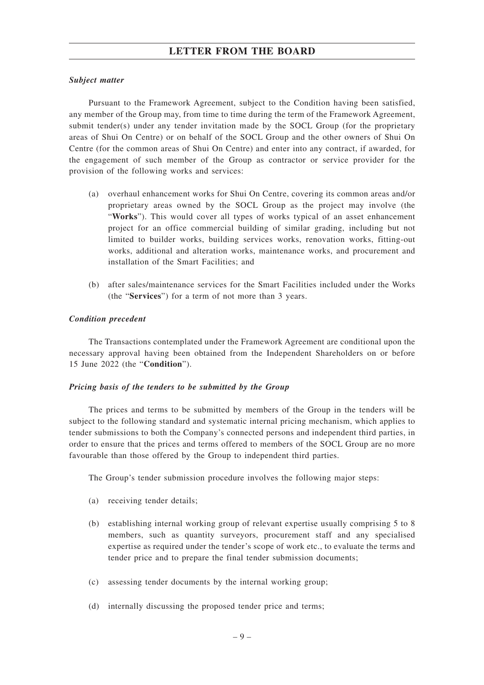#### *Subject matter*

Pursuant to the Framework Agreement, subject to the Condition having been satisfied, any member of the Group may, from time to time during the term of the Framework Agreement, submit tender(s) under any tender invitation made by the SOCL Group (for the proprietary areas of Shui On Centre) or on behalf of the SOCL Group and the other owners of Shui On Centre (for the common areas of Shui On Centre) and enter into any contract, if awarded, for the engagement of such member of the Group as contractor or service provider for the provision of the following works and services:

- (a) overhaul enhancement works for Shui On Centre, covering its common areas and/or proprietary areas owned by the SOCL Group as the project may involve (the "**Works**"). This would cover all types of works typical of an asset enhancement project for an office commercial building of similar grading, including but not limited to builder works, building services works, renovation works, fitting-out works, additional and alteration works, maintenance works, and procurement and installation of the Smart Facilities; and
- (b) after sales/maintenance services for the Smart Facilities included under the Works (the "**Services**") for a term of not more than 3 years.

#### *Condition precedent*

The Transactions contemplated under the Framework Agreement are conditional upon the necessary approval having been obtained from the Independent Shareholders on or before 15 June 2022 (the "**Condition**").

#### *Pricing basis of the tenders to be submitted by the Group*

The prices and terms to be submitted by members of the Group in the tenders will be subject to the following standard and systematic internal pricing mechanism, which applies to tender submissions to both the Company's connected persons and independent third parties, in order to ensure that the prices and terms offered to members of the SOCL Group are no more favourable than those offered by the Group to independent third parties.

The Group's tender submission procedure involves the following major steps:

- (a) receiving tender details;
- (b) establishing internal working group of relevant expertise usually comprising 5 to 8 members, such as quantity surveyors, procurement staff and any specialised expertise as required under the tender's scope of work etc., to evaluate the terms and tender price and to prepare the final tender submission documents;
- (c) assessing tender documents by the internal working group;
- (d) internally discussing the proposed tender price and terms;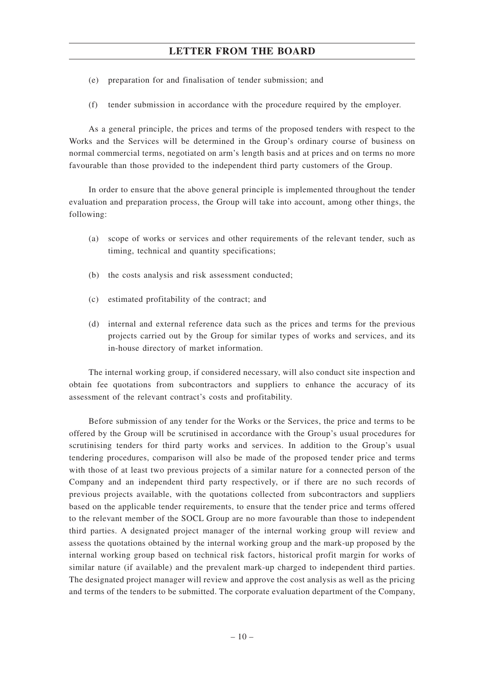- (e) preparation for and finalisation of tender submission; and
- (f) tender submission in accordance with the procedure required by the employer.

As a general principle, the prices and terms of the proposed tenders with respect to the Works and the Services will be determined in the Group's ordinary course of business on normal commercial terms, negotiated on arm's length basis and at prices and on terms no more favourable than those provided to the independent third party customers of the Group.

In order to ensure that the above general principle is implemented throughout the tender evaluation and preparation process, the Group will take into account, among other things, the following:

- (a) scope of works or services and other requirements of the relevant tender, such as timing, technical and quantity specifications;
- (b) the costs analysis and risk assessment conducted;
- (c) estimated profitability of the contract; and
- (d) internal and external reference data such as the prices and terms for the previous projects carried out by the Group for similar types of works and services, and its in-house directory of market information.

The internal working group, if considered necessary, will also conduct site inspection and obtain fee quotations from subcontractors and suppliers to enhance the accuracy of its assessment of the relevant contract's costs and profitability.

Before submission of any tender for the Works or the Services, the price and terms to be offered by the Group will be scrutinised in accordance with the Group's usual procedures for scrutinising tenders for third party works and services. In addition to the Group's usual tendering procedures, comparison will also be made of the proposed tender price and terms with those of at least two previous projects of a similar nature for a connected person of the Company and an independent third party respectively, or if there are no such records of previous projects available, with the quotations collected from subcontractors and suppliers based on the applicable tender requirements, to ensure that the tender price and terms offered to the relevant member of the SOCL Group are no more favourable than those to independent third parties. A designated project manager of the internal working group will review and assess the quotations obtained by the internal working group and the mark-up proposed by the internal working group based on technical risk factors, historical profit margin for works of similar nature (if available) and the prevalent mark-up charged to independent third parties. The designated project manager will review and approve the cost analysis as well as the pricing and terms of the tenders to be submitted. The corporate evaluation department of the Company,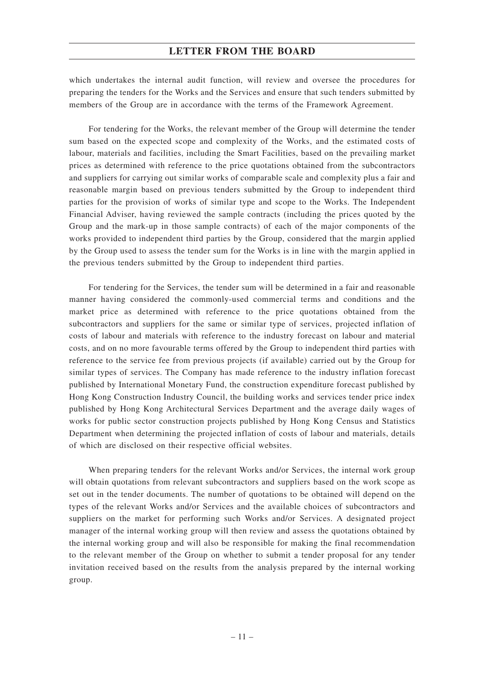which undertakes the internal audit function, will review and oversee the procedures for preparing the tenders for the Works and the Services and ensure that such tenders submitted by members of the Group are in accordance with the terms of the Framework Agreement.

For tendering for the Works, the relevant member of the Group will determine the tender sum based on the expected scope and complexity of the Works, and the estimated costs of labour, materials and facilities, including the Smart Facilities, based on the prevailing market prices as determined with reference to the price quotations obtained from the subcontractors and suppliers for carrying out similar works of comparable scale and complexity plus a fair and reasonable margin based on previous tenders submitted by the Group to independent third parties for the provision of works of similar type and scope to the Works. The Independent Financial Adviser, having reviewed the sample contracts (including the prices quoted by the Group and the mark-up in those sample contracts) of each of the major components of the works provided to independent third parties by the Group, considered that the margin applied by the Group used to assess the tender sum for the Works is in line with the margin applied in the previous tenders submitted by the Group to independent third parties.

For tendering for the Services, the tender sum will be determined in a fair and reasonable manner having considered the commonly-used commercial terms and conditions and the market price as determined with reference to the price quotations obtained from the subcontractors and suppliers for the same or similar type of services, projected inflation of costs of labour and materials with reference to the industry forecast on labour and material costs, and on no more favourable terms offered by the Group to independent third parties with reference to the service fee from previous projects (if available) carried out by the Group for similar types of services. The Company has made reference to the industry inflation forecast published by International Monetary Fund, the construction expenditure forecast published by Hong Kong Construction Industry Council, the building works and services tender price index published by Hong Kong Architectural Services Department and the average daily wages of works for public sector construction projects published by Hong Kong Census and Statistics Department when determining the projected inflation of costs of labour and materials, details of which are disclosed on their respective official websites.

When preparing tenders for the relevant Works and/or Services, the internal work group will obtain quotations from relevant subcontractors and suppliers based on the work scope as set out in the tender documents. The number of quotations to be obtained will depend on the types of the relevant Works and/or Services and the available choices of subcontractors and suppliers on the market for performing such Works and/or Services. A designated project manager of the internal working group will then review and assess the quotations obtained by the internal working group and will also be responsible for making the final recommendation to the relevant member of the Group on whether to submit a tender proposal for any tender invitation received based on the results from the analysis prepared by the internal working group.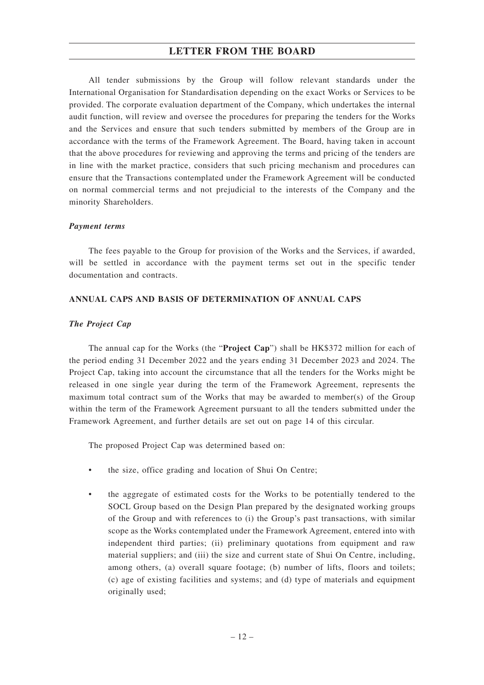All tender submissions by the Group will follow relevant standards under the International Organisation for Standardisation depending on the exact Works or Services to be provided. The corporate evaluation department of the Company, which undertakes the internal audit function, will review and oversee the procedures for preparing the tenders for the Works and the Services and ensure that such tenders submitted by members of the Group are in accordance with the terms of the Framework Agreement. The Board, having taken in account that the above procedures for reviewing and approving the terms and pricing of the tenders are in line with the market practice, considers that such pricing mechanism and procedures can ensure that the Transactions contemplated under the Framework Agreement will be conducted on normal commercial terms and not prejudicial to the interests of the Company and the minority Shareholders.

#### *Payment terms*

The fees payable to the Group for provision of the Works and the Services, if awarded, will be settled in accordance with the payment terms set out in the specific tender documentation and contracts.

#### **ANNUAL CAPS AND BASIS OF DETERMINATION OF ANNUAL CAPS**

#### *The Project Cap*

The annual cap for the Works (the "**Project Cap**") shall be HK\$372 million for each of the period ending 31 December 2022 and the years ending 31 December 2023 and 2024. The Project Cap, taking into account the circumstance that all the tenders for the Works might be released in one single year during the term of the Framework Agreement, represents the maximum total contract sum of the Works that may be awarded to member(s) of the Group within the term of the Framework Agreement pursuant to all the tenders submitted under the Framework Agreement, and further details are set out on page 14 of this circular.

The proposed Project Cap was determined based on:

- the size, office grading and location of Shui On Centre;
- the aggregate of estimated costs for the Works to be potentially tendered to the SOCL Group based on the Design Plan prepared by the designated working groups of the Group and with references to (i) the Group's past transactions, with similar scope as the Works contemplated under the Framework Agreement, entered into with independent third parties; (ii) preliminary quotations from equipment and raw material suppliers; and (iii) the size and current state of Shui On Centre, including, among others, (a) overall square footage; (b) number of lifts, floors and toilets; (c) age of existing facilities and systems; and (d) type of materials and equipment originally used;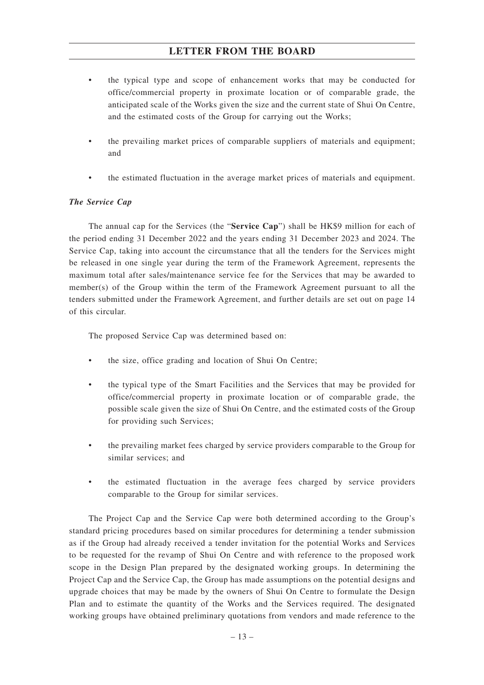- the typical type and scope of enhancement works that may be conducted for office/commercial property in proximate location or of comparable grade, the anticipated scale of the Works given the size and the current state of Shui On Centre, and the estimated costs of the Group for carrying out the Works;
- the prevailing market prices of comparable suppliers of materials and equipment; and
- the estimated fluctuation in the average market prices of materials and equipment.

## *The Service Cap*

The annual cap for the Services (the "**Service Cap**") shall be HK\$9 million for each of the period ending 31 December 2022 and the years ending 31 December 2023 and 2024. The Service Cap, taking into account the circumstance that all the tenders for the Services might be released in one single year during the term of the Framework Agreement, represents the maximum total after sales/maintenance service fee for the Services that may be awarded to member(s) of the Group within the term of the Framework Agreement pursuant to all the tenders submitted under the Framework Agreement, and further details are set out on page 14 of this circular.

The proposed Service Cap was determined based on:

- the size, office grading and location of Shui On Centre;
- the typical type of the Smart Facilities and the Services that may be provided for office/commercial property in proximate location or of comparable grade, the possible scale given the size of Shui On Centre, and the estimated costs of the Group for providing such Services;
- the prevailing market fees charged by service providers comparable to the Group for similar services; and
- the estimated fluctuation in the average fees charged by service providers comparable to the Group for similar services.

The Project Cap and the Service Cap were both determined according to the Group's standard pricing procedures based on similar procedures for determining a tender submission as if the Group had already received a tender invitation for the potential Works and Services to be requested for the revamp of Shui On Centre and with reference to the proposed work scope in the Design Plan prepared by the designated working groups. In determining the Project Cap and the Service Cap, the Group has made assumptions on the potential designs and upgrade choices that may be made by the owners of Shui On Centre to formulate the Design Plan and to estimate the quantity of the Works and the Services required. The designated working groups have obtained preliminary quotations from vendors and made reference to the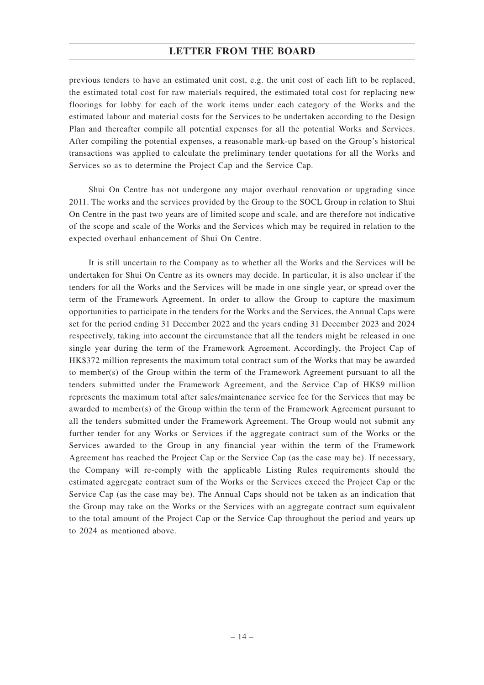previous tenders to have an estimated unit cost, e.g. the unit cost of each lift to be replaced, the estimated total cost for raw materials required, the estimated total cost for replacing new floorings for lobby for each of the work items under each category of the Works and the estimated labour and material costs for the Services to be undertaken according to the Design Plan and thereafter compile all potential expenses for all the potential Works and Services. After compiling the potential expenses, a reasonable mark-up based on the Group's historical transactions was applied to calculate the preliminary tender quotations for all the Works and Services so as to determine the Project Cap and the Service Cap.

Shui On Centre has not undergone any major overhaul renovation or upgrading since 2011. The works and the services provided by the Group to the SOCL Group in relation to Shui On Centre in the past two years are of limited scope and scale, and are therefore not indicative of the scope and scale of the Works and the Services which may be required in relation to the expected overhaul enhancement of Shui On Centre.

It is still uncertain to the Company as to whether all the Works and the Services will be undertaken for Shui On Centre as its owners may decide. In particular, it is also unclear if the tenders for all the Works and the Services will be made in one single year, or spread over the term of the Framework Agreement. In order to allow the Group to capture the maximum opportunities to participate in the tenders for the Works and the Services, the Annual Caps were set for the period ending 31 December 2022 and the years ending 31 December 2023 and 2024 respectively, taking into account the circumstance that all the tenders might be released in one single year during the term of the Framework Agreement. Accordingly, the Project Cap of HK\$372 million represents the maximum total contract sum of the Works that may be awarded to member(s) of the Group within the term of the Framework Agreement pursuant to all the tenders submitted under the Framework Agreement, and the Service Cap of HK\$9 million represents the maximum total after sales/maintenance service fee for the Services that may be awarded to member(s) of the Group within the term of the Framework Agreement pursuant to all the tenders submitted under the Framework Agreement. The Group would not submit any further tender for any Works or Services if the aggregate contract sum of the Works or the Services awarded to the Group in any financial year within the term of the Framework Agreement has reached the Project Cap or the Service Cap (as the case may be). If necessary, the Company will re-comply with the applicable Listing Rules requirements should the estimated aggregate contract sum of the Works or the Services exceed the Project Cap or the Service Cap (as the case may be). The Annual Caps should not be taken as an indication that the Group may take on the Works or the Services with an aggregate contract sum equivalent to the total amount of the Project Cap or the Service Cap throughout the period and years up to 2024 as mentioned above.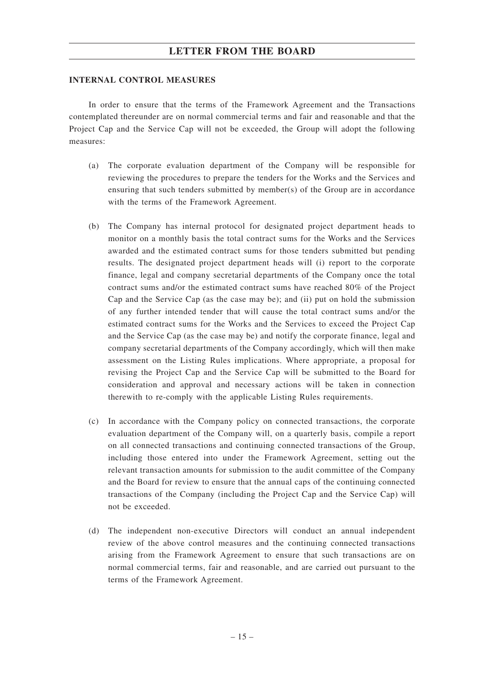#### **INTERNAL CONTROL MEASURES**

In order to ensure that the terms of the Framework Agreement and the Transactions contemplated thereunder are on normal commercial terms and fair and reasonable and that the Project Cap and the Service Cap will not be exceeded, the Group will adopt the following measures:

- (a) The corporate evaluation department of the Company will be responsible for reviewing the procedures to prepare the tenders for the Works and the Services and ensuring that such tenders submitted by member(s) of the Group are in accordance with the terms of the Framework Agreement.
- (b) The Company has internal protocol for designated project department heads to monitor on a monthly basis the total contract sums for the Works and the Services awarded and the estimated contract sums for those tenders submitted but pending results. The designated project department heads will (i) report to the corporate finance, legal and company secretarial departments of the Company once the total contract sums and/or the estimated contract sums have reached 80% of the Project Cap and the Service Cap (as the case may be); and (ii) put on hold the submission of any further intended tender that will cause the total contract sums and/or the estimated contract sums for the Works and the Services to exceed the Project Cap and the Service Cap (as the case may be) and notify the corporate finance, legal and company secretarial departments of the Company accordingly, which will then make assessment on the Listing Rules implications. Where appropriate, a proposal for revising the Project Cap and the Service Cap will be submitted to the Board for consideration and approval and necessary actions will be taken in connection therewith to re-comply with the applicable Listing Rules requirements.
- (c) In accordance with the Company policy on connected transactions, the corporate evaluation department of the Company will, on a quarterly basis, compile a report on all connected transactions and continuing connected transactions of the Group, including those entered into under the Framework Agreement, setting out the relevant transaction amounts for submission to the audit committee of the Company and the Board for review to ensure that the annual caps of the continuing connected transactions of the Company (including the Project Cap and the Service Cap) will not be exceeded.
- (d) The independent non-executive Directors will conduct an annual independent review of the above control measures and the continuing connected transactions arising from the Framework Agreement to ensure that such transactions are on normal commercial terms, fair and reasonable, and are carried out pursuant to the terms of the Framework Agreement.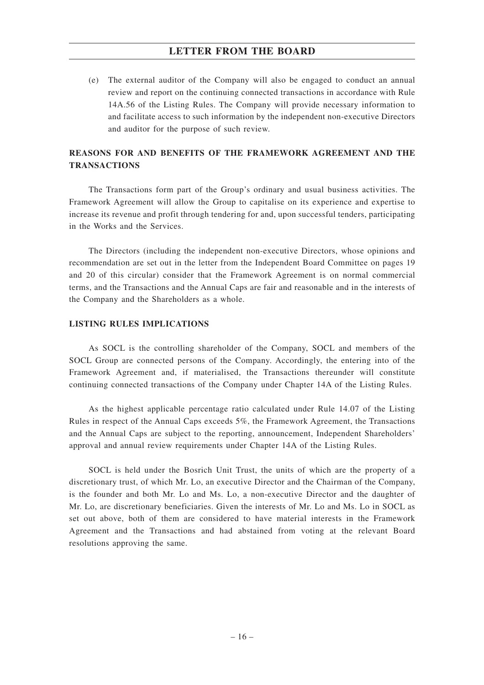(e) The external auditor of the Company will also be engaged to conduct an annual review and report on the continuing connected transactions in accordance with Rule 14A.56 of the Listing Rules. The Company will provide necessary information to and facilitate access to such information by the independent non-executive Directors and auditor for the purpose of such review.

## **REASONS FOR AND BENEFITS OF THE FRAMEWORK AGREEMENT AND THE TRANSACTIONS**

The Transactions form part of the Group's ordinary and usual business activities. The Framework Agreement will allow the Group to capitalise on its experience and expertise to increase its revenue and profit through tendering for and, upon successful tenders, participating in the Works and the Services.

The Directors (including the independent non-executive Directors, whose opinions and recommendation are set out in the letter from the Independent Board Committee on pages 19 and 20 of this circular) consider that the Framework Agreement is on normal commercial terms, and the Transactions and the Annual Caps are fair and reasonable and in the interests of the Company and the Shareholders as a whole.

### **LISTING RULES IMPLICATIONS**

As SOCL is the controlling shareholder of the Company, SOCL and members of the SOCL Group are connected persons of the Company. Accordingly, the entering into of the Framework Agreement and, if materialised, the Transactions thereunder will constitute continuing connected transactions of the Company under Chapter 14A of the Listing Rules.

As the highest applicable percentage ratio calculated under Rule 14.07 of the Listing Rules in respect of the Annual Caps exceeds 5%, the Framework Agreement, the Transactions and the Annual Caps are subject to the reporting, announcement, Independent Shareholders' approval and annual review requirements under Chapter 14A of the Listing Rules.

SOCL is held under the Bosrich Unit Trust, the units of which are the property of a discretionary trust, of which Mr. Lo, an executive Director and the Chairman of the Company, is the founder and both Mr. Lo and Ms. Lo, a non-executive Director and the daughter of Mr. Lo, are discretionary beneficiaries. Given the interests of Mr. Lo and Ms. Lo in SOCL as set out above, both of them are considered to have material interests in the Framework Agreement and the Transactions and had abstained from voting at the relevant Board resolutions approving the same.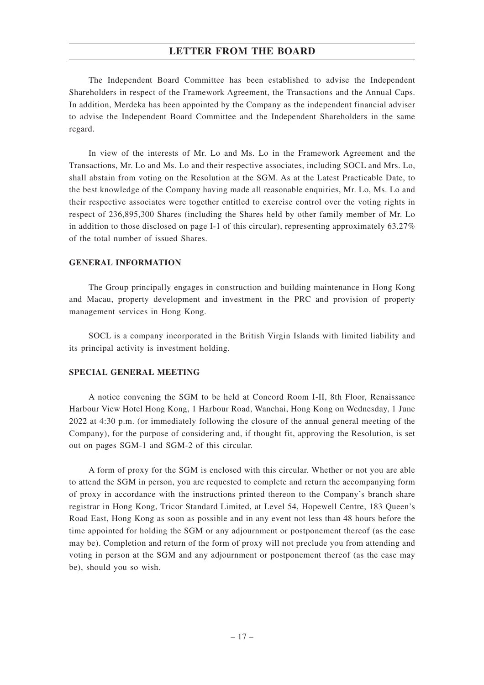The Independent Board Committee has been established to advise the Independent Shareholders in respect of the Framework Agreement, the Transactions and the Annual Caps. In addition, Merdeka has been appointed by the Company as the independent financial adviser to advise the Independent Board Committee and the Independent Shareholders in the same regard.

In view of the interests of Mr. Lo and Ms. Lo in the Framework Agreement and the Transactions, Mr. Lo and Ms. Lo and their respective associates, including SOCL and Mrs. Lo, shall abstain from voting on the Resolution at the SGM. As at the Latest Practicable Date, to the best knowledge of the Company having made all reasonable enquiries, Mr. Lo, Ms. Lo and their respective associates were together entitled to exercise control over the voting rights in respect of 236,895,300 Shares (including the Shares held by other family member of Mr. Lo in addition to those disclosed on page I-1 of this circular), representing approximately 63.27% of the total number of issued Shares.

### **GENERAL INFORMATION**

The Group principally engages in construction and building maintenance in Hong Kong and Macau, property development and investment in the PRC and provision of property management services in Hong Kong.

SOCL is a company incorporated in the British Virgin Islands with limited liability and its principal activity is investment holding.

#### **SPECIAL GENERAL MEETING**

A notice convening the SGM to be held at Concord Room I-II, 8th Floor, Renaissance Harbour View Hotel Hong Kong, 1 Harbour Road, Wanchai, Hong Kong on Wednesday, 1 June 2022 at 4:30 p.m. (or immediately following the closure of the annual general meeting of the Company), for the purpose of considering and, if thought fit, approving the Resolution, is set out on pages SGM-1 and SGM-2 of this circular.

A form of proxy for the SGM is enclosed with this circular. Whether or not you are able to attend the SGM in person, you are requested to complete and return the accompanying form of proxy in accordance with the instructions printed thereon to the Company's branch share registrar in Hong Kong, Tricor Standard Limited, at Level 54, Hopewell Centre, 183 Queen's Road East, Hong Kong as soon as possible and in any event not less than 48 hours before the time appointed for holding the SGM or any adjournment or postponement thereof (as the case may be). Completion and return of the form of proxy will not preclude you from attending and voting in person at the SGM and any adjournment or postponement thereof (as the case may be), should you so wish.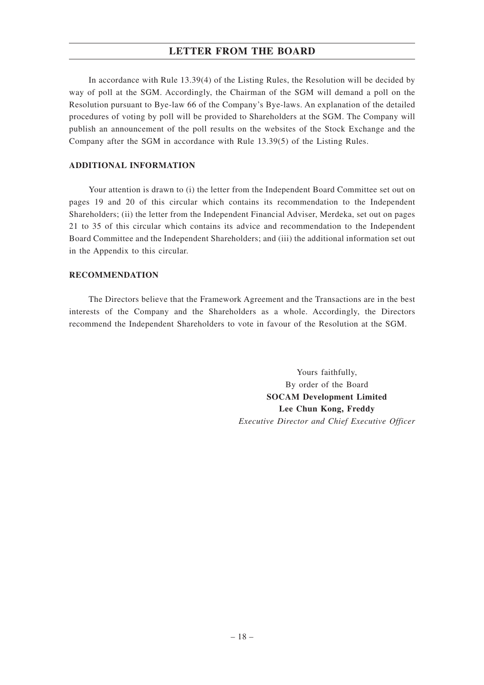In accordance with Rule 13.39(4) of the Listing Rules, the Resolution will be decided by way of poll at the SGM. Accordingly, the Chairman of the SGM will demand a poll on the Resolution pursuant to Bye-law 66 of the Company's Bye-laws. An explanation of the detailed procedures of voting by poll will be provided to Shareholders at the SGM. The Company will publish an announcement of the poll results on the websites of the Stock Exchange and the Company after the SGM in accordance with Rule 13.39(5) of the Listing Rules.

### **ADDITIONAL INFORMATION**

Your attention is drawn to (i) the letter from the Independent Board Committee set out on pages 19 and 20 of this circular which contains its recommendation to the Independent Shareholders; (ii) the letter from the Independent Financial Adviser, Merdeka, set out on pages 21 to 35 of this circular which contains its advice and recommendation to the Independent Board Committee and the Independent Shareholders; and (iii) the additional information set out in the Appendix to this circular.

#### **RECOMMENDATION**

The Directors believe that the Framework Agreement and the Transactions are in the best interests of the Company and the Shareholders as a whole. Accordingly, the Directors recommend the Independent Shareholders to vote in favour of the Resolution at the SGM.

> Yours faithfully, By order of the Board **SOCAM Development Limited Lee Chun Kong, Freddy** *Executive Director and Chief Executive Officer*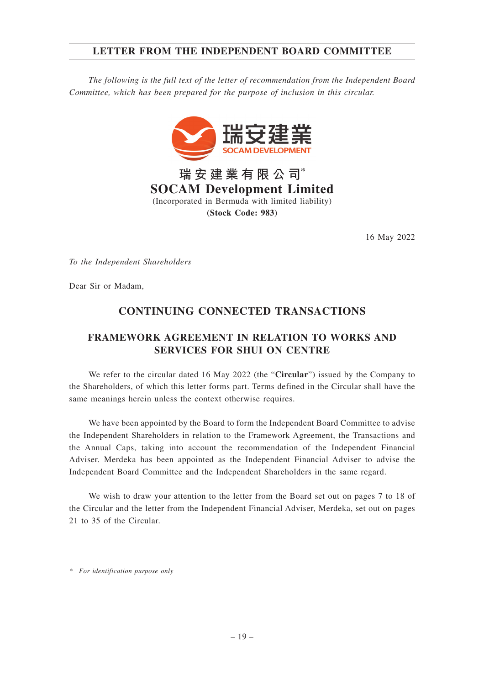## **LETTER FROM THE INDEPENDENT BOARD COMMITTEE**

*The following is the full text of the letter of recommendation from the Independent Board Committee, which has been prepared for the purpose of inclusion in this circular.*



**瑞安建業有限公司\* SOCAM Development Limited** (Incorporated in Bermuda with limited liability) **(Stock Code: 983)**

16 May 2022

*To the Independent Shareholders*

Dear Sir or Madam,

## **CONTINUING CONNECTED TRANSACTIONS**

## **FRAMEWORK AGREEMENT IN RELATION TO WORKS AND SERVICES FOR SHUI ON CENTRE**

We refer to the circular dated 16 May 2022 (the "**Circular**") issued by the Company to the Shareholders, of which this letter forms part. Terms defined in the Circular shall have the same meanings herein unless the context otherwise requires.

We have been appointed by the Board to form the Independent Board Committee to advise the Independent Shareholders in relation to the Framework Agreement, the Transactions and the Annual Caps, taking into account the recommendation of the Independent Financial Adviser. Merdeka has been appointed as the Independent Financial Adviser to advise the Independent Board Committee and the Independent Shareholders in the same regard.

We wish to draw your attention to the letter from the Board set out on pages 7 to 18 of the Circular and the letter from the Independent Financial Adviser, Merdeka, set out on pages 21 to 35 of the Circular.

*\* For identification purpose only*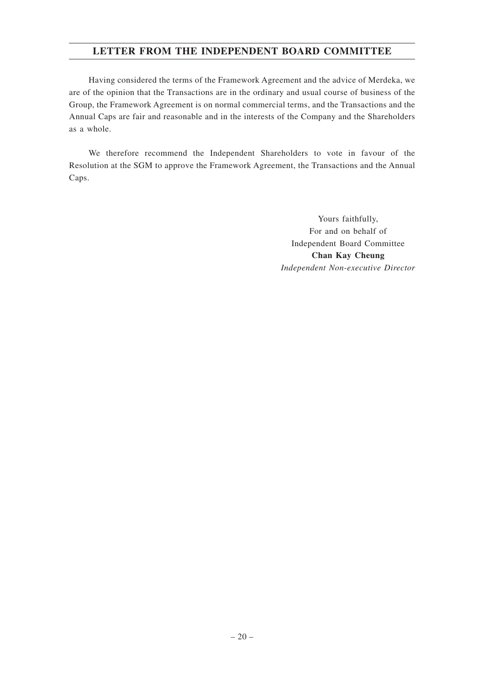## **LETTER FROM THE INDEPENDENT BOARD COMMITTEE**

Having considered the terms of the Framework Agreement and the advice of Merdeka, we are of the opinion that the Transactions are in the ordinary and usual course of business of the Group, the Framework Agreement is on normal commercial terms, and the Transactions and the Annual Caps are fair and reasonable and in the interests of the Company and the Shareholders as a whole.

We therefore recommend the Independent Shareholders to vote in favour of the Resolution at the SGM to approve the Framework Agreement, the Transactions and the Annual Caps.

> Yours faithfully, For and on behalf of Independent Board Committee **Chan Kay Cheung** *Independent Non-executive Director*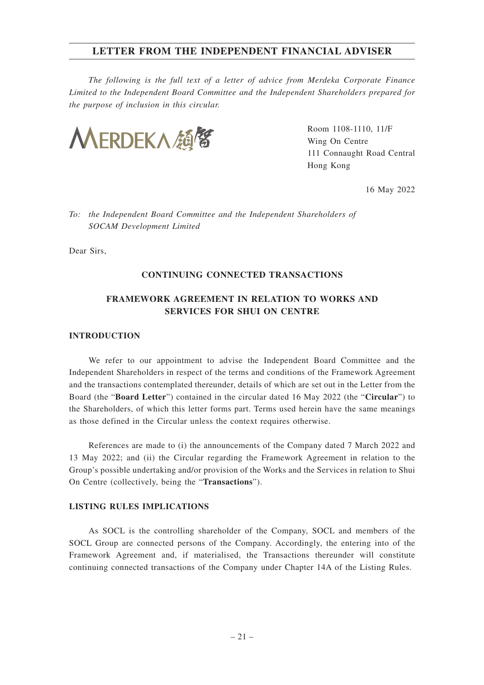*The following is the full text of a letter of advice from Merdeka Corporate Finance Limited to the Independent Board Committee and the Independent Shareholders prepared for the purpose of inclusion in this circular.*



Room 1108-1110, 11/F Wing On Centre 111 Connaught Road Central Hong Kong

16 May 2022

*To: the Independent Board Committee and the Independent Shareholders of SOCAM Development Limited*

Dear Sirs,

#### **CONTINUING CONNECTED TRANSACTIONS**

## **FRAMEWORK AGREEMENT IN RELATION TO WORKS AND SERVICES FOR SHUI ON CENTRE**

#### **INTRODUCTION**

We refer to our appointment to advise the Independent Board Committee and the Independent Shareholders in respect of the terms and conditions of the Framework Agreement and the transactions contemplated thereunder, details of which are set out in the Letter from the Board (the "**Board Letter**") contained in the circular dated 16 May 2022 (the "**Circular**") to the Shareholders, of which this letter forms part. Terms used herein have the same meanings as those defined in the Circular unless the context requires otherwise.

References are made to (i) the announcements of the Company dated 7 March 2022 and 13 May 2022; and (ii) the Circular regarding the Framework Agreement in relation to the Group's possible undertaking and/or provision of the Works and the Services in relation to Shui On Centre (collectively, being the "**Transactions**").

#### **LISTING RULES IMPLICATIONS**

As SOCL is the controlling shareholder of the Company, SOCL and members of the SOCL Group are connected persons of the Company. Accordingly, the entering into of the Framework Agreement and, if materialised, the Transactions thereunder will constitute continuing connected transactions of the Company under Chapter 14A of the Listing Rules.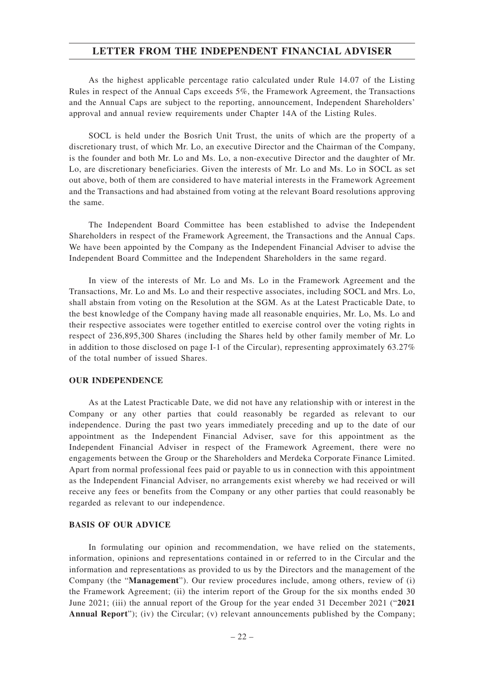As the highest applicable percentage ratio calculated under Rule 14.07 of the Listing Rules in respect of the Annual Caps exceeds 5%, the Framework Agreement, the Transactions and the Annual Caps are subject to the reporting, announcement, Independent Shareholders' approval and annual review requirements under Chapter 14A of the Listing Rules.

SOCL is held under the Bosrich Unit Trust, the units of which are the property of a discretionary trust, of which Mr. Lo, an executive Director and the Chairman of the Company, is the founder and both Mr. Lo and Ms. Lo, a non-executive Director and the daughter of Mr. Lo, are discretionary beneficiaries. Given the interests of Mr. Lo and Ms. Lo in SOCL as set out above, both of them are considered to have material interests in the Framework Agreement and the Transactions and had abstained from voting at the relevant Board resolutions approving the same.

The Independent Board Committee has been established to advise the Independent Shareholders in respect of the Framework Agreement, the Transactions and the Annual Caps. We have been appointed by the Company as the Independent Financial Adviser to advise the Independent Board Committee and the Independent Shareholders in the same regard.

In view of the interests of Mr. Lo and Ms. Lo in the Framework Agreement and the Transactions, Mr. Lo and Ms. Lo and their respective associates, including SOCL and Mrs. Lo, shall abstain from voting on the Resolution at the SGM. As at the Latest Practicable Date, to the best knowledge of the Company having made all reasonable enquiries, Mr. Lo, Ms. Lo and their respective associates were together entitled to exercise control over the voting rights in respect of 236,895,300 Shares (including the Shares held by other family member of Mr. Lo in addition to those disclosed on page I-1 of the Circular), representing approximately 63.27% of the total number of issued Shares.

#### **OUR INDEPENDENCE**

As at the Latest Practicable Date, we did not have any relationship with or interest in the Company or any other parties that could reasonably be regarded as relevant to our independence. During the past two years immediately preceding and up to the date of our appointment as the Independent Financial Adviser, save for this appointment as the Independent Financial Adviser in respect of the Framework Agreement, there were no engagements between the Group or the Shareholders and Merdeka Corporate Finance Limited. Apart from normal professional fees paid or payable to us in connection with this appointment as the Independent Financial Adviser, no arrangements exist whereby we had received or will receive any fees or benefits from the Company or any other parties that could reasonably be regarded as relevant to our independence.

#### **BASIS OF OUR ADVICE**

In formulating our opinion and recommendation, we have relied on the statements, information, opinions and representations contained in or referred to in the Circular and the information and representations as provided to us by the Directors and the management of the Company (the "**Management**"). Our review procedures include, among others, review of (i) the Framework Agreement; (ii) the interim report of the Group for the six months ended 30 June 2021; (iii) the annual report of the Group for the year ended 31 December 2021 ("**2021 Annual Report**"); (iv) the Circular; (v) relevant announcements published by the Company;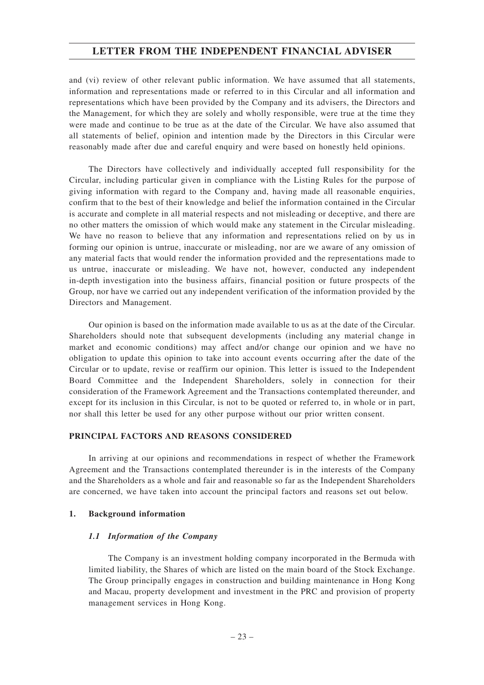and (vi) review of other relevant public information. We have assumed that all statements, information and representations made or referred to in this Circular and all information and representations which have been provided by the Company and its advisers, the Directors and the Management, for which they are solely and wholly responsible, were true at the time they were made and continue to be true as at the date of the Circular. We have also assumed that all statements of belief, opinion and intention made by the Directors in this Circular were reasonably made after due and careful enquiry and were based on honestly held opinions.

The Directors have collectively and individually accepted full responsibility for the Circular, including particular given in compliance with the Listing Rules for the purpose of giving information with regard to the Company and, having made all reasonable enquiries, confirm that to the best of their knowledge and belief the information contained in the Circular is accurate and complete in all material respects and not misleading or deceptive, and there are no other matters the omission of which would make any statement in the Circular misleading. We have no reason to believe that any information and representations relied on by us in forming our opinion is untrue, inaccurate or misleading, nor are we aware of any omission of any material facts that would render the information provided and the representations made to us untrue, inaccurate or misleading. We have not, however, conducted any independent in-depth investigation into the business affairs, financial position or future prospects of the Group, nor have we carried out any independent verification of the information provided by the Directors and Management.

Our opinion is based on the information made available to us as at the date of the Circular. Shareholders should note that subsequent developments (including any material change in market and economic conditions) may affect and/or change our opinion and we have no obligation to update this opinion to take into account events occurring after the date of the Circular or to update, revise or reaffirm our opinion. This letter is issued to the Independent Board Committee and the Independent Shareholders, solely in connection for their consideration of the Framework Agreement and the Transactions contemplated thereunder, and except for its inclusion in this Circular, is not to be quoted or referred to, in whole or in part, nor shall this letter be used for any other purpose without our prior written consent.

#### **PRINCIPAL FACTORS AND REASONS CONSIDERED**

In arriving at our opinions and recommendations in respect of whether the Framework Agreement and the Transactions contemplated thereunder is in the interests of the Company and the Shareholders as a whole and fair and reasonable so far as the Independent Shareholders are concerned, we have taken into account the principal factors and reasons set out below.

#### **1. Background information**

#### *1.1 Information of the Company*

The Company is an investment holding company incorporated in the Bermuda with limited liability, the Shares of which are listed on the main board of the Stock Exchange. The Group principally engages in construction and building maintenance in Hong Kong and Macau, property development and investment in the PRC and provision of property management services in Hong Kong.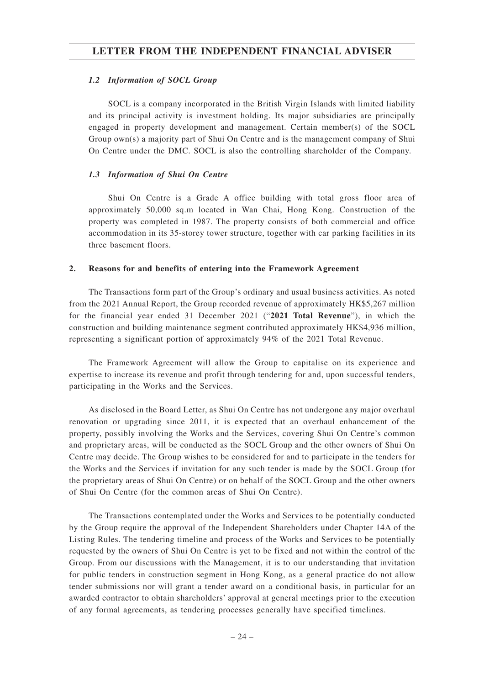#### *1.2 Information of SOCL Group*

SOCL is a company incorporated in the British Virgin Islands with limited liability and its principal activity is investment holding. Its major subsidiaries are principally engaged in property development and management. Certain member(s) of the SOCL Group own(s) a majority part of Shui On Centre and is the management company of Shui On Centre under the DMC. SOCL is also the controlling shareholder of the Company.

#### *1.3 Information of Shui On Centre*

Shui On Centre is a Grade A office building with total gross floor area of approximately 50,000 sq.m located in Wan Chai, Hong Kong. Construction of the property was completed in 1987. The property consists of both commercial and office accommodation in its 35-storey tower structure, together with car parking facilities in its three basement floors.

#### **2. Reasons for and benefits of entering into the Framework Agreement**

The Transactions form part of the Group's ordinary and usual business activities. As noted from the 2021 Annual Report, the Group recorded revenue of approximately HK\$5,267 million for the financial year ended 31 December 2021 ("**2021 Total Revenue**"), in which the construction and building maintenance segment contributed approximately HK\$4,936 million, representing a significant portion of approximately 94% of the 2021 Total Revenue.

The Framework Agreement will allow the Group to capitalise on its experience and expertise to increase its revenue and profit through tendering for and, upon successful tenders, participating in the Works and the Services.

As disclosed in the Board Letter, as Shui On Centre has not undergone any major overhaul renovation or upgrading since 2011, it is expected that an overhaul enhancement of the property, possibly involving the Works and the Services, covering Shui On Centre's common and proprietary areas, will be conducted as the SOCL Group and the other owners of Shui On Centre may decide. The Group wishes to be considered for and to participate in the tenders for the Works and the Services if invitation for any such tender is made by the SOCL Group (for the proprietary areas of Shui On Centre) or on behalf of the SOCL Group and the other owners of Shui On Centre (for the common areas of Shui On Centre).

The Transactions contemplated under the Works and Services to be potentially conducted by the Group require the approval of the Independent Shareholders under Chapter 14A of the Listing Rules. The tendering timeline and process of the Works and Services to be potentially requested by the owners of Shui On Centre is yet to be fixed and not within the control of the Group. From our discussions with the Management, it is to our understanding that invitation for public tenders in construction segment in Hong Kong, as a general practice do not allow tender submissions nor will grant a tender award on a conditional basis, in particular for an awarded contractor to obtain shareholders' approval at general meetings prior to the execution of any formal agreements, as tendering processes generally have specified timelines.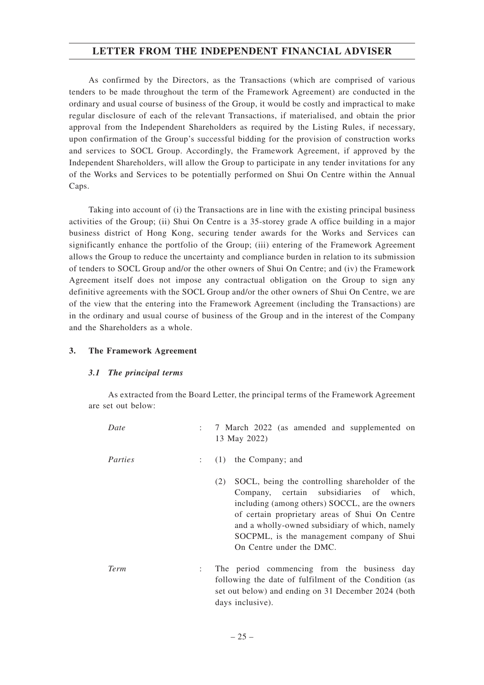As confirmed by the Directors, as the Transactions (which are comprised of various tenders to be made throughout the term of the Framework Agreement) are conducted in the ordinary and usual course of business of the Group, it would be costly and impractical to make regular disclosure of each of the relevant Transactions, if materialised, and obtain the prior approval from the Independent Shareholders as required by the Listing Rules, if necessary, upon confirmation of the Group's successful bidding for the provision of construction works and services to SOCL Group. Accordingly, the Framework Agreement, if approved by the Independent Shareholders, will allow the Group to participate in any tender invitations for any of the Works and Services to be potentially performed on Shui On Centre within the Annual Caps.

Taking into account of (i) the Transactions are in line with the existing principal business activities of the Group; (ii) Shui On Centre is a 35-storey grade A office building in a major business district of Hong Kong, securing tender awards for the Works and Services can significantly enhance the portfolio of the Group; (iii) entering of the Framework Agreement allows the Group to reduce the uncertainty and compliance burden in relation to its submission of tenders to SOCL Group and/or the other owners of Shui On Centre; and (iv) the Framework Agreement itself does not impose any contractual obligation on the Group to sign any definitive agreements with the SOCL Group and/or the other owners of Shui On Centre, we are of the view that the entering into the Framework Agreement (including the Transactions) are in the ordinary and usual course of business of the Group and in the interest of the Company and the Shareholders as a whole.

#### **3. The Framework Agreement**

#### *3.1 The principal terms*

As extracted from the Board Letter, the principal terms of the Framework Agreement are set out below:

| Date        |                | 7 March 2022 (as amended and supplemented on<br>13 May 2022)                                                                                                                                                                                                                                                                    |
|-------------|----------------|---------------------------------------------------------------------------------------------------------------------------------------------------------------------------------------------------------------------------------------------------------------------------------------------------------------------------------|
| Parties     | $\mathbb{R}^n$ | (1) the Company; and                                                                                                                                                                                                                                                                                                            |
|             |                | SOCL, being the controlling shareholder of the<br>(2)<br>Company, certain subsidiaries of which,<br>including (among others) SOCCL, are the owners<br>of certain proprietary areas of Shui On Centre<br>and a wholly-owned subsidiary of which, namely<br>SOCPML, is the management company of Shui<br>On Centre under the DMC. |
| <b>Term</b> |                | The period commencing from the business day<br>following the date of fulfilment of the Condition (as<br>set out below) and ending on 31 December 2024 (both<br>days inclusive).                                                                                                                                                 |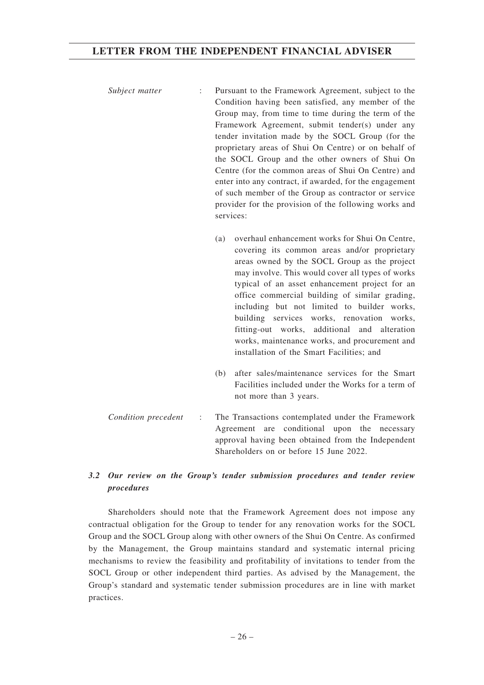- *Subject matter* : Pursuant to the Framework Agreement, subject to the Condition having been satisfied, any member of the Group may, from time to time during the term of the Framework Agreement, submit tender(s) under any tender invitation made by the SOCL Group (for the proprietary areas of Shui On Centre) or on behalf of the SOCL Group and the other owners of Shui On Centre (for the common areas of Shui On Centre) and enter into any contract, if awarded, for the engagement of such member of the Group as contractor or service provider for the provision of the following works and services:
	- (a) overhaul enhancement works for Shui On Centre, covering its common areas and/or proprietary areas owned by the SOCL Group as the project may involve. This would cover all types of works typical of an asset enhancement project for an office commercial building of similar grading, including but not limited to builder works, building services works, renovation works, fitting-out works, additional and alteration works, maintenance works, and procurement and installation of the Smart Facilities; and
	- (b) after sales/maintenance services for the Smart Facilities included under the Works for a term of not more than 3 years.
- *Condition precedent* : The Transactions contemplated under the Framework Agreement are conditional upon the necessary approval having been obtained from the Independent Shareholders on or before 15 June 2022.

## *3.2 Our review on the Group's tender submission procedures and tender review procedures*

Shareholders should note that the Framework Agreement does not impose any contractual obligation for the Group to tender for any renovation works for the SOCL Group and the SOCL Group along with other owners of the Shui On Centre. As confirmed by the Management, the Group maintains standard and systematic internal pricing mechanisms to review the feasibility and profitability of invitations to tender from the SOCL Group or other independent third parties. As advised by the Management, the Group's standard and systematic tender submission procedures are in line with market practices.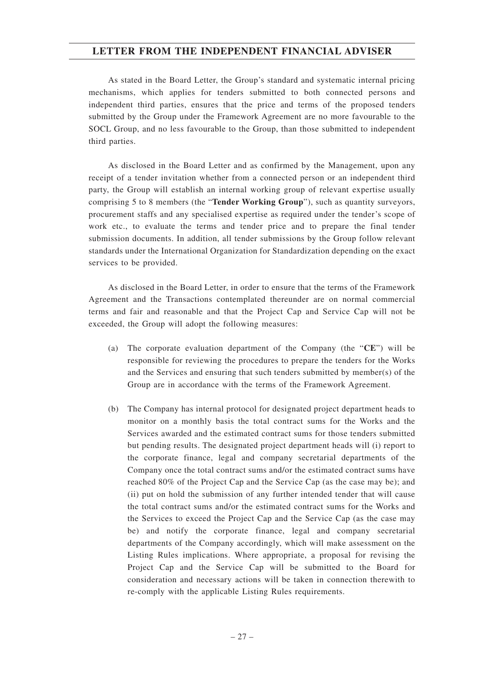As stated in the Board Letter, the Group's standard and systematic internal pricing mechanisms, which applies for tenders submitted to both connected persons and independent third parties, ensures that the price and terms of the proposed tenders submitted by the Group under the Framework Agreement are no more favourable to the SOCL Group, and no less favourable to the Group, than those submitted to independent third parties.

As disclosed in the Board Letter and as confirmed by the Management, upon any receipt of a tender invitation whether from a connected person or an independent third party, the Group will establish an internal working group of relevant expertise usually comprising 5 to 8 members (the "**Tender Working Group**"), such as quantity surveyors, procurement staffs and any specialised expertise as required under the tender's scope of work etc., to evaluate the terms and tender price and to prepare the final tender submission documents. In addition, all tender submissions by the Group follow relevant standards under the International Organization for Standardization depending on the exact services to be provided.

As disclosed in the Board Letter, in order to ensure that the terms of the Framework Agreement and the Transactions contemplated thereunder are on normal commercial terms and fair and reasonable and that the Project Cap and Service Cap will not be exceeded, the Group will adopt the following measures:

- (a) The corporate evaluation department of the Company (the "**CE**") will be responsible for reviewing the procedures to prepare the tenders for the Works and the Services and ensuring that such tenders submitted by member(s) of the Group are in accordance with the terms of the Framework Agreement.
- (b) The Company has internal protocol for designated project department heads to monitor on a monthly basis the total contract sums for the Works and the Services awarded and the estimated contract sums for those tenders submitted but pending results. The designated project department heads will (i) report to the corporate finance, legal and company secretarial departments of the Company once the total contract sums and/or the estimated contract sums have reached 80% of the Project Cap and the Service Cap (as the case may be); and (ii) put on hold the submission of any further intended tender that will cause the total contract sums and/or the estimated contract sums for the Works and the Services to exceed the Project Cap and the Service Cap (as the case may be) and notify the corporate finance, legal and company secretarial departments of the Company accordingly, which will make assessment on the Listing Rules implications. Where appropriate, a proposal for revising the Project Cap and the Service Cap will be submitted to the Board for consideration and necessary actions will be taken in connection therewith to re-comply with the applicable Listing Rules requirements.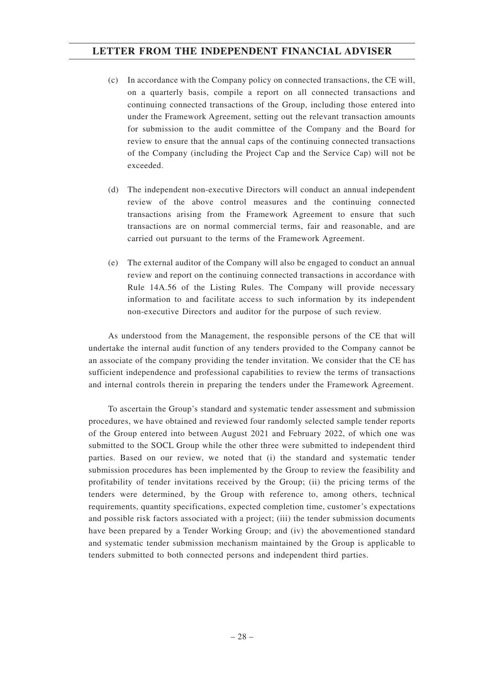- (c) In accordance with the Company policy on connected transactions, the CE will, on a quarterly basis, compile a report on all connected transactions and continuing connected transactions of the Group, including those entered into under the Framework Agreement, setting out the relevant transaction amounts for submission to the audit committee of the Company and the Board for review to ensure that the annual caps of the continuing connected transactions of the Company (including the Project Cap and the Service Cap) will not be exceeded.
- (d) The independent non-executive Directors will conduct an annual independent review of the above control measures and the continuing connected transactions arising from the Framework Agreement to ensure that such transactions are on normal commercial terms, fair and reasonable, and are carried out pursuant to the terms of the Framework Agreement.
- (e) The external auditor of the Company will also be engaged to conduct an annual review and report on the continuing connected transactions in accordance with Rule 14A.56 of the Listing Rules. The Company will provide necessary information to and facilitate access to such information by its independent non-executive Directors and auditor for the purpose of such review.

As understood from the Management, the responsible persons of the CE that will undertake the internal audit function of any tenders provided to the Company cannot be an associate of the company providing the tender invitation. We consider that the CE has sufficient independence and professional capabilities to review the terms of transactions and internal controls therein in preparing the tenders under the Framework Agreement.

To ascertain the Group's standard and systematic tender assessment and submission procedures, we have obtained and reviewed four randomly selected sample tender reports of the Group entered into between August 2021 and February 2022, of which one was submitted to the SOCL Group while the other three were submitted to independent third parties. Based on our review, we noted that (i) the standard and systematic tender submission procedures has been implemented by the Group to review the feasibility and profitability of tender invitations received by the Group; (ii) the pricing terms of the tenders were determined, by the Group with reference to, among others, technical requirements, quantity specifications, expected completion time, customer's expectations and possible risk factors associated with a project; (iii) the tender submission documents have been prepared by a Tender Working Group; and (iv) the abovementioned standard and systematic tender submission mechanism maintained by the Group is applicable to tenders submitted to both connected persons and independent third parties.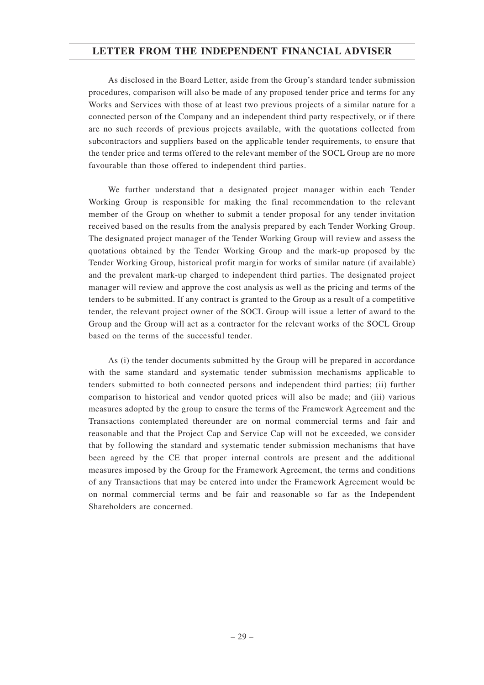As disclosed in the Board Letter, aside from the Group's standard tender submission procedures, comparison will also be made of any proposed tender price and terms for any Works and Services with those of at least two previous projects of a similar nature for a connected person of the Company and an independent third party respectively, or if there are no such records of previous projects available, with the quotations collected from subcontractors and suppliers based on the applicable tender requirements, to ensure that the tender price and terms offered to the relevant member of the SOCL Group are no more favourable than those offered to independent third parties.

We further understand that a designated project manager within each Tender Working Group is responsible for making the final recommendation to the relevant member of the Group on whether to submit a tender proposal for any tender invitation received based on the results from the analysis prepared by each Tender Working Group. The designated project manager of the Tender Working Group will review and assess the quotations obtained by the Tender Working Group and the mark-up proposed by the Tender Working Group, historical profit margin for works of similar nature (if available) and the prevalent mark-up charged to independent third parties. The designated project manager will review and approve the cost analysis as well as the pricing and terms of the tenders to be submitted. If any contract is granted to the Group as a result of a competitive tender, the relevant project owner of the SOCL Group will issue a letter of award to the Group and the Group will act as a contractor for the relevant works of the SOCL Group based on the terms of the successful tender.

As (i) the tender documents submitted by the Group will be prepared in accordance with the same standard and systematic tender submission mechanisms applicable to tenders submitted to both connected persons and independent third parties; (ii) further comparison to historical and vendor quoted prices will also be made; and (iii) various measures adopted by the group to ensure the terms of the Framework Agreement and the Transactions contemplated thereunder are on normal commercial terms and fair and reasonable and that the Project Cap and Service Cap will not be exceeded, we consider that by following the standard and systematic tender submission mechanisms that have been agreed by the CE that proper internal controls are present and the additional measures imposed by the Group for the Framework Agreement, the terms and conditions of any Transactions that may be entered into under the Framework Agreement would be on normal commercial terms and be fair and reasonable so far as the Independent Shareholders are concerned.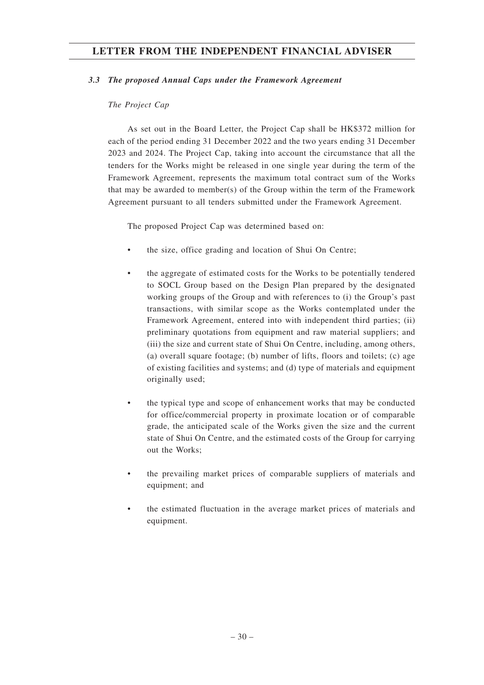#### *3.3 The proposed Annual Caps under the Framework Agreement*

### *The Project Cap*

As set out in the Board Letter, the Project Cap shall be HK\$372 million for each of the period ending 31 December 2022 and the two years ending 31 December 2023 and 2024. The Project Cap, taking into account the circumstance that all the tenders for the Works might be released in one single year during the term of the Framework Agreement, represents the maximum total contract sum of the Works that may be awarded to member(s) of the Group within the term of the Framework Agreement pursuant to all tenders submitted under the Framework Agreement.

The proposed Project Cap was determined based on:

- the size, office grading and location of Shui On Centre;
- the aggregate of estimated costs for the Works to be potentially tendered to SOCL Group based on the Design Plan prepared by the designated working groups of the Group and with references to (i) the Group's past transactions, with similar scope as the Works contemplated under the Framework Agreement, entered into with independent third parties; (ii) preliminary quotations from equipment and raw material suppliers; and (iii) the size and current state of Shui On Centre, including, among others, (a) overall square footage; (b) number of lifts, floors and toilets; (c) age of existing facilities and systems; and (d) type of materials and equipment originally used;
- the typical type and scope of enhancement works that may be conducted for office/commercial property in proximate location or of comparable grade, the anticipated scale of the Works given the size and the current state of Shui On Centre, and the estimated costs of the Group for carrying out the Works;
- the prevailing market prices of comparable suppliers of materials and equipment; and
- the estimated fluctuation in the average market prices of materials and equipment.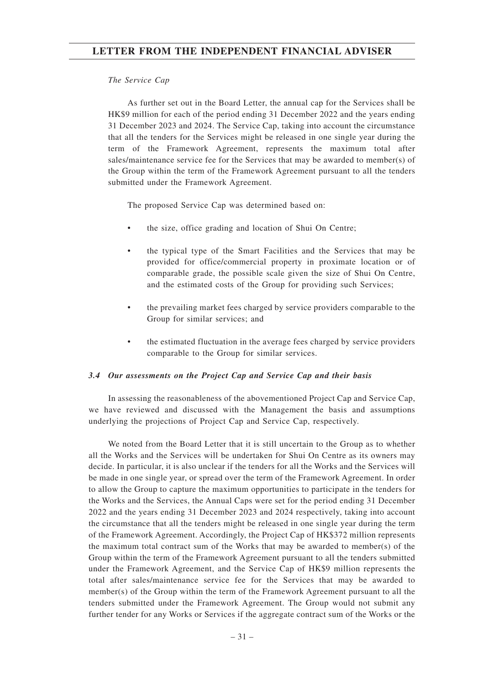#### *The Service Cap*

As further set out in the Board Letter, the annual cap for the Services shall be HK\$9 million for each of the period ending 31 December 2022 and the years ending 31 December 2023 and 2024. The Service Cap, taking into account the circumstance that all the tenders for the Services might be released in one single year during the term of the Framework Agreement, represents the maximum total after sales/maintenance service fee for the Services that may be awarded to member(s) of the Group within the term of the Framework Agreement pursuant to all the tenders submitted under the Framework Agreement.

The proposed Service Cap was determined based on:

- the size, office grading and location of Shui On Centre;
- the typical type of the Smart Facilities and the Services that may be provided for office/commercial property in proximate location or of comparable grade, the possible scale given the size of Shui On Centre, and the estimated costs of the Group for providing such Services;
- the prevailing market fees charged by service providers comparable to the Group for similar services; and
- the estimated fluctuation in the average fees charged by service providers comparable to the Group for similar services.

#### *3.4 Our assessments on the Project Cap and Service Cap and their basis*

In assessing the reasonableness of the abovementioned Project Cap and Service Cap, we have reviewed and discussed with the Management the basis and assumptions underlying the projections of Project Cap and Service Cap, respectively.

We noted from the Board Letter that it is still uncertain to the Group as to whether all the Works and the Services will be undertaken for Shui On Centre as its owners may decide. In particular, it is also unclear if the tenders for all the Works and the Services will be made in one single year, or spread over the term of the Framework Agreement. In order to allow the Group to capture the maximum opportunities to participate in the tenders for the Works and the Services, the Annual Caps were set for the period ending 31 December 2022 and the years ending 31 December 2023 and 2024 respectively, taking into account the circumstance that all the tenders might be released in one single year during the term of the Framework Agreement. Accordingly, the Project Cap of HK\$372 million represents the maximum total contract sum of the Works that may be awarded to member(s) of the Group within the term of the Framework Agreement pursuant to all the tenders submitted under the Framework Agreement, and the Service Cap of HK\$9 million represents the total after sales/maintenance service fee for the Services that may be awarded to member(s) of the Group within the term of the Framework Agreement pursuant to all the tenders submitted under the Framework Agreement. The Group would not submit any further tender for any Works or Services if the aggregate contract sum of the Works or the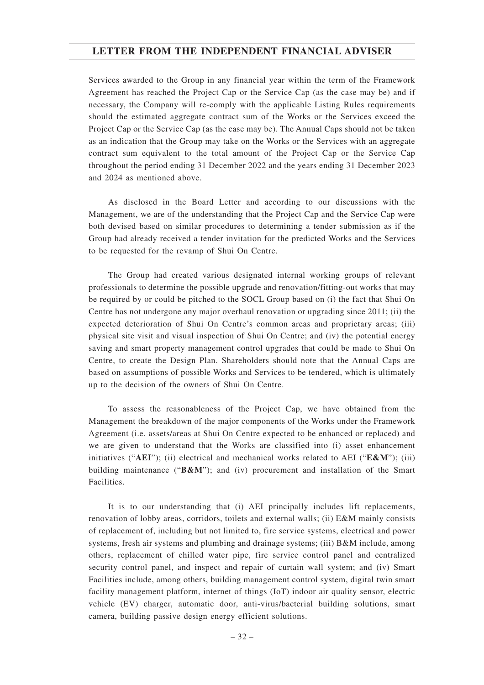Services awarded to the Group in any financial year within the term of the Framework Agreement has reached the Project Cap or the Service Cap (as the case may be) and if necessary, the Company will re-comply with the applicable Listing Rules requirements should the estimated aggregate contract sum of the Works or the Services exceed the Project Cap or the Service Cap (as the case may be). The Annual Caps should not be taken as an indication that the Group may take on the Works or the Services with an aggregate contract sum equivalent to the total amount of the Project Cap or the Service Cap throughout the period ending 31 December 2022 and the years ending 31 December 2023 and 2024 as mentioned above.

As disclosed in the Board Letter and according to our discussions with the Management, we are of the understanding that the Project Cap and the Service Cap were both devised based on similar procedures to determining a tender submission as if the Group had already received a tender invitation for the predicted Works and the Services to be requested for the revamp of Shui On Centre.

The Group had created various designated internal working groups of relevant professionals to determine the possible upgrade and renovation/fitting-out works that may be required by or could be pitched to the SOCL Group based on (i) the fact that Shui On Centre has not undergone any major overhaul renovation or upgrading since 2011; (ii) the expected deterioration of Shui On Centre's common areas and proprietary areas; (iii) physical site visit and visual inspection of Shui On Centre; and (iv) the potential energy saving and smart property management control upgrades that could be made to Shui On Centre, to create the Design Plan. Shareholders should note that the Annual Caps are based on assumptions of possible Works and Services to be tendered, which is ultimately up to the decision of the owners of Shui On Centre.

To assess the reasonableness of the Project Cap, we have obtained from the Management the breakdown of the major components of the Works under the Framework Agreement (i.e. assets/areas at Shui On Centre expected to be enhanced or replaced) and we are given to understand that the Works are classified into (i) asset enhancement initiatives ("**AEI**"); (ii) electrical and mechanical works related to AEI ("**E&M**"); (iii) building maintenance ("**B&M**"); and (iv) procurement and installation of the Smart Facilities.

It is to our understanding that (i) AEI principally includes lift replacements, renovation of lobby areas, corridors, toilets and external walls; (ii) E&M mainly consists of replacement of, including but not limited to, fire service systems, electrical and power systems, fresh air systems and plumbing and drainage systems; (iii) B&M include, among others, replacement of chilled water pipe, fire service control panel and centralized security control panel, and inspect and repair of curtain wall system; and (iv) Smart Facilities include, among others, building management control system, digital twin smart facility management platform, internet of things (IoT) indoor air quality sensor, electric vehicle (EV) charger, automatic door, anti-virus/bacterial building solutions, smart camera, building passive design energy efficient solutions.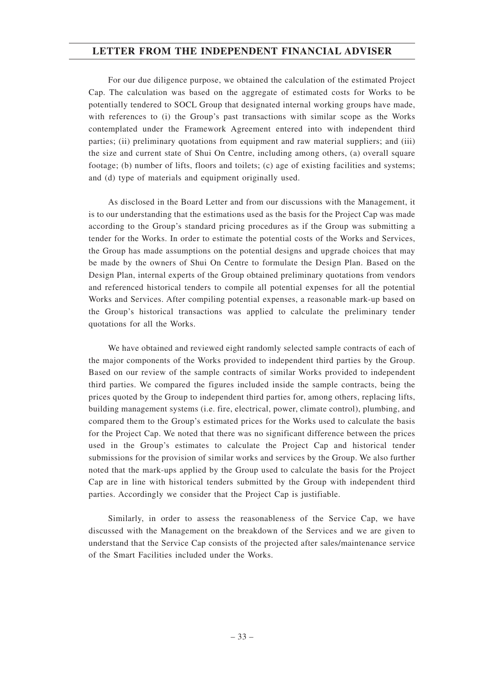For our due diligence purpose, we obtained the calculation of the estimated Project Cap. The calculation was based on the aggregate of estimated costs for Works to be potentially tendered to SOCL Group that designated internal working groups have made, with references to (i) the Group's past transactions with similar scope as the Works contemplated under the Framework Agreement entered into with independent third parties; (ii) preliminary quotations from equipment and raw material suppliers; and (iii) the size and current state of Shui On Centre, including among others, (a) overall square footage; (b) number of lifts, floors and toilets; (c) age of existing facilities and systems; and (d) type of materials and equipment originally used.

As disclosed in the Board Letter and from our discussions with the Management, it is to our understanding that the estimations used as the basis for the Project Cap was made according to the Group's standard pricing procedures as if the Group was submitting a tender for the Works. In order to estimate the potential costs of the Works and Services, the Group has made assumptions on the potential designs and upgrade choices that may be made by the owners of Shui On Centre to formulate the Design Plan. Based on the Design Plan, internal experts of the Group obtained preliminary quotations from vendors and referenced historical tenders to compile all potential expenses for all the potential Works and Services. After compiling potential expenses, a reasonable mark-up based on the Group's historical transactions was applied to calculate the preliminary tender quotations for all the Works.

We have obtained and reviewed eight randomly selected sample contracts of each of the major components of the Works provided to independent third parties by the Group. Based on our review of the sample contracts of similar Works provided to independent third parties. We compared the figures included inside the sample contracts, being the prices quoted by the Group to independent third parties for, among others, replacing lifts, building management systems (i.e. fire, electrical, power, climate control), plumbing, and compared them to the Group's estimated prices for the Works used to calculate the basis for the Project Cap. We noted that there was no significant difference between the prices used in the Group's estimates to calculate the Project Cap and historical tender submissions for the provision of similar works and services by the Group. We also further noted that the mark-ups applied by the Group used to calculate the basis for the Project Cap are in line with historical tenders submitted by the Group with independent third parties. Accordingly we consider that the Project Cap is justifiable.

Similarly, in order to assess the reasonableness of the Service Cap, we have discussed with the Management on the breakdown of the Services and we are given to understand that the Service Cap consists of the projected after sales/maintenance service of the Smart Facilities included under the Works.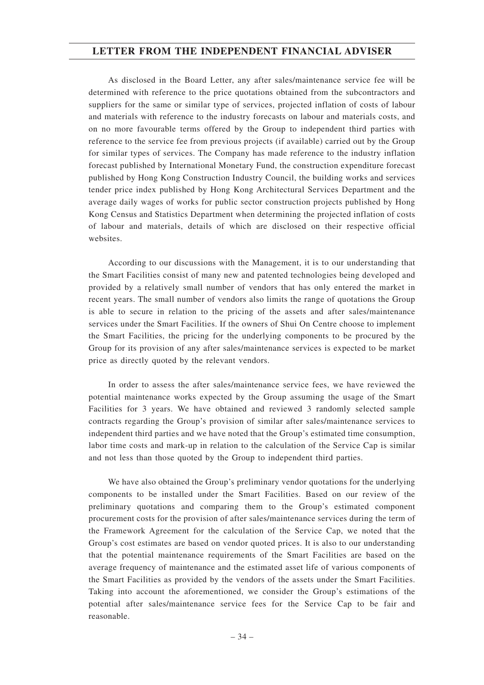As disclosed in the Board Letter, any after sales/maintenance service fee will be determined with reference to the price quotations obtained from the subcontractors and suppliers for the same or similar type of services, projected inflation of costs of labour and materials with reference to the industry forecasts on labour and materials costs, and on no more favourable terms offered by the Group to independent third parties with reference to the service fee from previous projects (if available) carried out by the Group for similar types of services. The Company has made reference to the industry inflation forecast published by International Monetary Fund, the construction expenditure forecast published by Hong Kong Construction Industry Council, the building works and services tender price index published by Hong Kong Architectural Services Department and the average daily wages of works for public sector construction projects published by Hong Kong Census and Statistics Department when determining the projected inflation of costs of labour and materials, details of which are disclosed on their respective official websites.

According to our discussions with the Management, it is to our understanding that the Smart Facilities consist of many new and patented technologies being developed and provided by a relatively small number of vendors that has only entered the market in recent years. The small number of vendors also limits the range of quotations the Group is able to secure in relation to the pricing of the assets and after sales/maintenance services under the Smart Facilities. If the owners of Shui On Centre choose to implement the Smart Facilities, the pricing for the underlying components to be procured by the Group for its provision of any after sales/maintenance services is expected to be market price as directly quoted by the relevant vendors.

In order to assess the after sales/maintenance service fees, we have reviewed the potential maintenance works expected by the Group assuming the usage of the Smart Facilities for 3 years. We have obtained and reviewed 3 randomly selected sample contracts regarding the Group's provision of similar after sales/maintenance services to independent third parties and we have noted that the Group's estimated time consumption, labor time costs and mark-up in relation to the calculation of the Service Cap is similar and not less than those quoted by the Group to independent third parties.

We have also obtained the Group's preliminary vendor quotations for the underlying components to be installed under the Smart Facilities. Based on our review of the preliminary quotations and comparing them to the Group's estimated component procurement costs for the provision of after sales/maintenance services during the term of the Framework Agreement for the calculation of the Service Cap, we noted that the Group's cost estimates are based on vendor quoted prices. It is also to our understanding that the potential maintenance requirements of the Smart Facilities are based on the average frequency of maintenance and the estimated asset life of various components of the Smart Facilities as provided by the vendors of the assets under the Smart Facilities. Taking into account the aforementioned, we consider the Group's estimations of the potential after sales/maintenance service fees for the Service Cap to be fair and reasonable.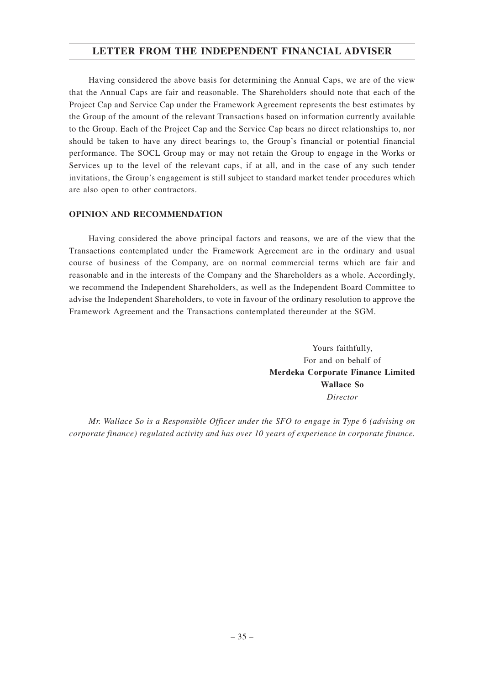Having considered the above basis for determining the Annual Caps, we are of the view that the Annual Caps are fair and reasonable. The Shareholders should note that each of the Project Cap and Service Cap under the Framework Agreement represents the best estimates by the Group of the amount of the relevant Transactions based on information currently available to the Group. Each of the Project Cap and the Service Cap bears no direct relationships to, nor should be taken to have any direct bearings to, the Group's financial or potential financial performance. The SOCL Group may or may not retain the Group to engage in the Works or Services up to the level of the relevant caps, if at all, and in the case of any such tender invitations, the Group's engagement is still subject to standard market tender procedures which are also open to other contractors.

### **OPINION AND RECOMMENDATION**

Having considered the above principal factors and reasons, we are of the view that the Transactions contemplated under the Framework Agreement are in the ordinary and usual course of business of the Company, are on normal commercial terms which are fair and reasonable and in the interests of the Company and the Shareholders as a whole. Accordingly, we recommend the Independent Shareholders, as well as the Independent Board Committee to advise the Independent Shareholders, to vote in favour of the ordinary resolution to approve the Framework Agreement and the Transactions contemplated thereunder at the SGM.

> Yours faithfully, For and on behalf of **Merdeka Corporate Finance Limited Wallace So** *Director*

*Mr. Wallace So is a Responsible Officer under the SFO to engage in Type 6 (advising on corporate finance) regulated activity and has over 10 years of experience in corporate finance.*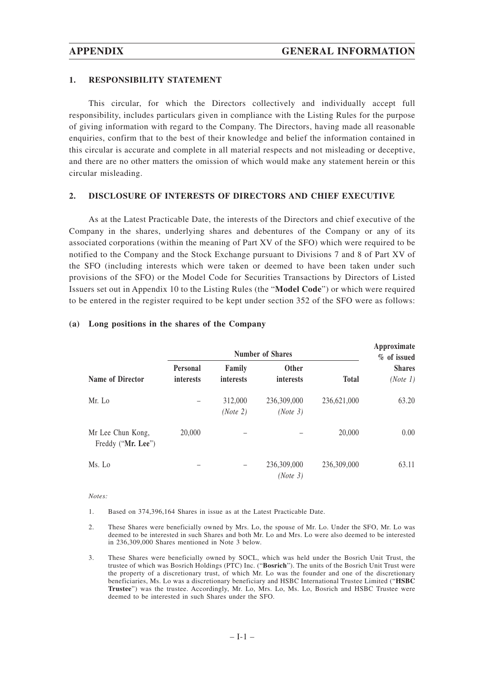#### **1. RESPONSIBILITY STATEMENT**

This circular, for which the Directors collectively and individually accept full responsibility, includes particulars given in compliance with the Listing Rules for the purpose of giving information with regard to the Company. The Directors, having made all reasonable enquiries, confirm that to the best of their knowledge and belief the information contained in this circular is accurate and complete in all material respects and not misleading or deceptive, and there are no other matters the omission of which would make any statement herein or this circular misleading.

#### **2. DISCLOSURE OF INTERESTS OF DIRECTORS AND CHIEF EXECUTIVE**

As at the Latest Practicable Date, the interests of the Directors and chief executive of the Company in the shares, underlying shares and debentures of the Company or any of its associated corporations (within the meaning of Part XV of the SFO) which were required to be notified to the Company and the Stock Exchange pursuant to Divisions 7 and 8 of Part XV of the SFO (including interests which were taken or deemed to have been taken under such provisions of the SFO) or the Model Code for Securities Transactions by Directors of Listed Issuers set out in Appendix 10 to the Listing Rules (the "**Model Code**") or which were required to be entered in the register required to be kept under section 352 of the SFO were as follows:

|                                         | <b>Number of Shares</b>             |                            |                           |              | Approximate<br>% of issued |
|-----------------------------------------|-------------------------------------|----------------------------|---------------------------|--------------|----------------------------|
| Name of Director                        | <b>Personal</b><br><i>interests</i> | Family<br><i>interests</i> | <b>Other</b><br>interests | <b>Total</b> | <b>Shares</b><br>(Note 1)  |
| Mr. Lo                                  |                                     | 312,000<br>(Note 2)        | 236,309,000<br>(Note 3)   | 236,621,000  | 63.20                      |
| Mr Lee Chun Kong,<br>Freddy ("Mr. Lee") | 20,000                              |                            |                           | 20,000       | 0.00                       |
| Ms. Lo                                  |                                     |                            | 236,309,000<br>(Note 3)   | 236,309,000  | 63.11                      |

#### **(a) Long positions in the shares of the Company**

#### *Notes:*

1. Based on 374,396,164 Shares in issue as at the Latest Practicable Date.

- 2. These Shares were beneficially owned by Mrs. Lo, the spouse of Mr. Lo. Under the SFO, Mr. Lo was deemed to be interested in such Shares and both Mr. Lo and Mrs. Lo were also deemed to be interested in 236,309,000 Shares mentioned in Note 3 below.
- 3. These Shares were beneficially owned by SOCL, which was held under the Bosrich Unit Trust, the trustee of which was Bosrich Holdings (PTC) Inc. ("**Bosrich**"). The units of the Bosrich Unit Trust were the property of a discretionary trust, of which Mr. Lo was the founder and one of the discretionary beneficiaries, Ms. Lo was a discretionary beneficiary and HSBC International Trustee Limited ("**HSBC Trustee**") was the trustee. Accordingly, Mr. Lo, Mrs. Lo, Ms. Lo, Bosrich and HSBC Trustee were deemed to be interested in such Shares under the SFO.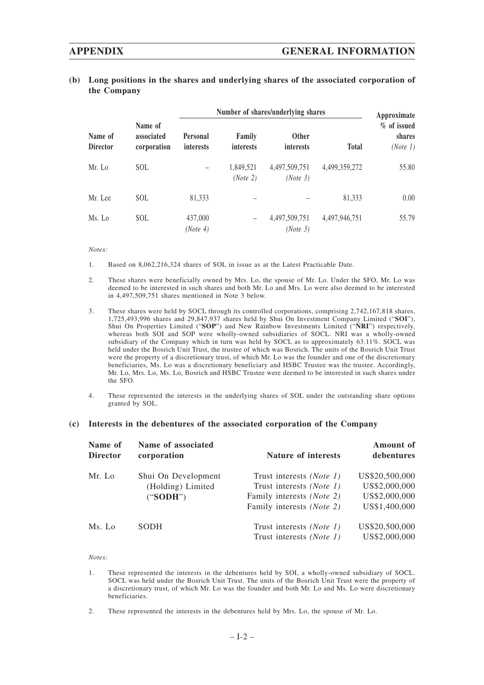## **APPENDIX GENERAL INFORMATION**

| (b) Long positions in the shares and underlying shares of the associated corporation of |
|-----------------------------------------------------------------------------------------|
| the Company                                                                             |

|                                       |                           | Number of shares/underlying shares  |                            |                                  |               | Approximate                       |
|---------------------------------------|---------------------------|-------------------------------------|----------------------------|----------------------------------|---------------|-----------------------------------|
| Name of<br>Name of<br><b>Director</b> | associated<br>corporation | <b>Personal</b><br><i>interests</i> | Family<br><i>interests</i> | <b>Other</b><br><i>interests</i> | <b>Total</b>  | % of issued<br>shares<br>(Note 1) |
| Mr. Lo                                | SOL                       |                                     | 1,849,521<br>(Note 2)      | 4,497,509,751<br>(Note 3)        | 4,499,359,272 | 55.80                             |
| Mr. Lee                               | SOL.                      | 81,333                              |                            |                                  | 81,333        | 0.00                              |
| Ms. Lo                                | <b>SOL</b>                | 437,000<br>(Note 4)                 |                            | 4,497,509,751<br>(Note 3)        | 4,497,946,751 | 55.79                             |

*Notes:*

- 1. Based on 8,062,216,324 shares of SOL in issue as at the Latest Practicable Date.
- 2. These shares were beneficially owned by Mrs. Lo, the spouse of Mr. Lo. Under the SFO, Mr. Lo was deemed to be interested in such shares and both Mr. Lo and Mrs. Lo were also deemed to be interested in 4,497,509,751 shares mentioned in Note 3 below.
- 3. These shares were held by SOCL through its controlled corporations, comprising 2,742,167,818 shares, 1,725,493,996 shares and 29,847,937 shares held by Shui On Investment Company Limited ("**SOI**"), Shui On Properties Limited ("**SOP**") and New Rainbow Investments Limited ("**NRI**") respectively, whereas both SOI and SOP were wholly-owned subsidiaries of SOCL. NRI was a wholly-owned subsidiary of the Company which in turn was held by SOCL as to approximately 63.11%. SOCL was held under the Bosrich Unit Trust, the trustee of which was Bosrich. The units of the Bosrich Unit Trust were the property of a discretionary trust, of which Mr. Lo was the founder and one of the discretionary beneficiaries, Ms. Lo was a discretionary beneficiary and HSBC Trustee was the trustee. Accordingly, Mr. Lo, Mrs. Lo, Ms. Lo, Bosrich and HSBC Trustee were deemed to be interested in such shares under the SFO.
- 4. These represented the interests in the underlying shares of SOL under the outstanding share options granted by SOL.

#### **(c) Interests in the debentures of the associated corporation of the Company**

| Name of<br><b>Director</b> | Name of associated<br>corporation        | <b>Nature of interests</b>                           | <b>Amount</b> of<br>debentures  |
|----------------------------|------------------------------------------|------------------------------------------------------|---------------------------------|
| Mr. Lo                     | Shui On Development<br>(Holding) Limited | Trust interests (Note 1)<br>Trust interests (Note 1) | US\$20,500,000<br>US\$2,000,000 |
|                            | ("SODH")                                 | Family interests (Note 2)                            | US\$2,000,000                   |
|                            |                                          | Family interests (Note 2)                            | US\$1,400,000                   |
| Ms. Lo                     | <b>SODH</b>                              | Trust interests (Note 1)                             | US\$20,500,000                  |
|                            |                                          | Trust interests (Note 1)                             | US\$2,000,000                   |

*Notes:*

- 1. These represented the interests in the debentures held by SOI, a wholly-owned subsidiary of SOCL. SOCL was held under the Bosrich Unit Trust. The units of the Bosrich Unit Trust were the property of a discretionary trust, of which Mr. Lo was the founder and both Mr. Lo and Ms. Lo were discretionary beneficiaries.
- 2. These represented the interests in the debentures held by Mrs. Lo, the spouse of Mr. Lo.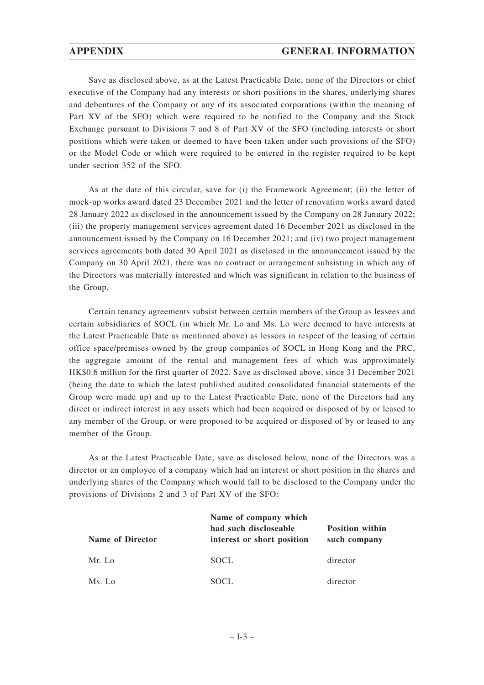## **APPENDIX GENERAL INFORMATION**

Save as disclosed above, as at the Latest Practicable Date, none of the Directors or chief executive of the Company had any interests or short positions in the shares, underlying shares and debentures of the Company or any of its associated corporations (within the meaning of Part XV of the SFO) which were required to be notified to the Company and the Stock Exchange pursuant to Divisions 7 and 8 of Part XV of the SFO (including interests or short positions which were taken or deemed to have been taken under such provisions of the SFO) or the Model Code or which were required to be entered in the register required to be kept under section 352 of the SFO.

As at the date of this circular, save for (i) the Framework Agreement; (ii) the letter of mock-up works award dated 23 December 2021 and the letter of renovation works award dated 28 January 2022 as disclosed in the announcement issued by the Company on 28 January 2022; (iii) the property management services agreement dated 16 December 2021 as disclosed in the announcement issued by the Company on 16 December 2021; and (iv) two project management services agreements both dated 30 April 2021 as disclosed in the announcement issued by the Company on 30 April 2021, there was no contract or arrangement subsisting in which any of the Directors was materially interested and which was significant in relation to the business of the Group.

Certain tenancy agreements subsist between certain members of the Group as lessees and certain subsidiaries of SOCL (in which Mr. Lo and Ms. Lo were deemed to have interests at the Latest Practicable Date as mentioned above) as lessors in respect of the leasing of certain office space/premises owned by the group companies of SOCL in Hong Kong and the PRC, the aggregate amount of the rental and management fees of which was approximately HK\$0.6 million for the first quarter of 2022. Save as disclosed above, since 31 December 2021 (being the date to which the latest published audited consolidated financial statements of the Group were made up) and up to the Latest Practicable Date, none of the Directors had any direct or indirect interest in any assets which had been acquired or disposed of by or leased to any member of the Group, or were proposed to be acquired or disposed of by or leased to any member of the Group.

As at the Latest Practicable Date, save as disclosed below, none of the Directors was a director or an employee of a company which had an interest or short position in the shares and underlying shares of the Company which would fall to be disclosed to the Company under the provisions of Divisions 2 and 3 of Part XV of the SFO:

| <b>Name of Director</b> | Name of company which<br>had such discloseable<br>interest or short position | <b>Position within</b><br>such company |
|-------------------------|------------------------------------------------------------------------------|----------------------------------------|
| Mr. Lo                  | <b>SOCL</b>                                                                  | director                               |
| Ms. Lo                  | <b>SOCL</b>                                                                  | director                               |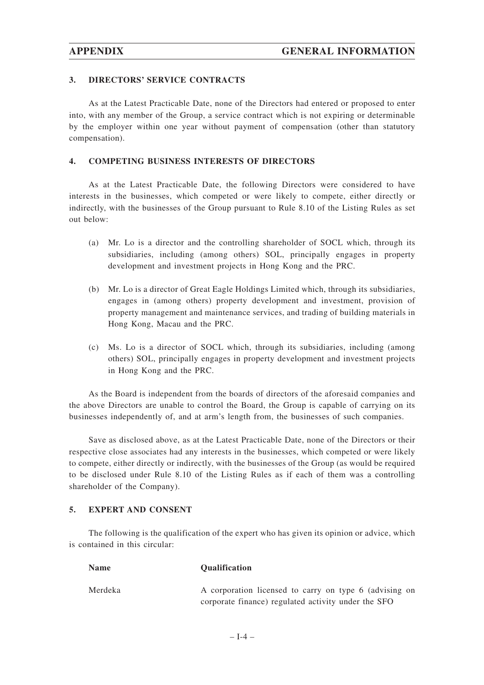#### **3. DIRECTORS' SERVICE CONTRACTS**

As at the Latest Practicable Date, none of the Directors had entered or proposed to enter into, with any member of the Group, a service contract which is not expiring or determinable by the employer within one year without payment of compensation (other than statutory compensation).

#### **4. COMPETING BUSINESS INTERESTS OF DIRECTORS**

As at the Latest Practicable Date, the following Directors were considered to have interests in the businesses, which competed or were likely to compete, either directly or indirectly, with the businesses of the Group pursuant to Rule 8.10 of the Listing Rules as set out below:

- (a) Mr. Lo is a director and the controlling shareholder of SOCL which, through its subsidiaries, including (among others) SOL, principally engages in property development and investment projects in Hong Kong and the PRC.
- (b) Mr. Lo is a director of Great Eagle Holdings Limited which, through its subsidiaries, engages in (among others) property development and investment, provision of property management and maintenance services, and trading of building materials in Hong Kong, Macau and the PRC.
- (c) Ms. Lo is a director of SOCL which, through its subsidiaries, including (among others) SOL, principally engages in property development and investment projects in Hong Kong and the PRC.

As the Board is independent from the boards of directors of the aforesaid companies and the above Directors are unable to control the Board, the Group is capable of carrying on its businesses independently of, and at arm's length from, the businesses of such companies.

Save as disclosed above, as at the Latest Practicable Date, none of the Directors or their respective close associates had any interests in the businesses, which competed or were likely to compete, either directly or indirectly, with the businesses of the Group (as would be required to be disclosed under Rule 8.10 of the Listing Rules as if each of them was a controlling shareholder of the Company).

## **5. EXPERT AND CONSENT**

The following is the qualification of the expert who has given its opinion or advice, which is contained in this circular:

| <b>Name</b> | <b>Oualification</b>                                   |
|-------------|--------------------------------------------------------|
| Merdeka     | A corporation licensed to carry on type 6 (advising on |
|             | corporate finance) regulated activity under the SFO    |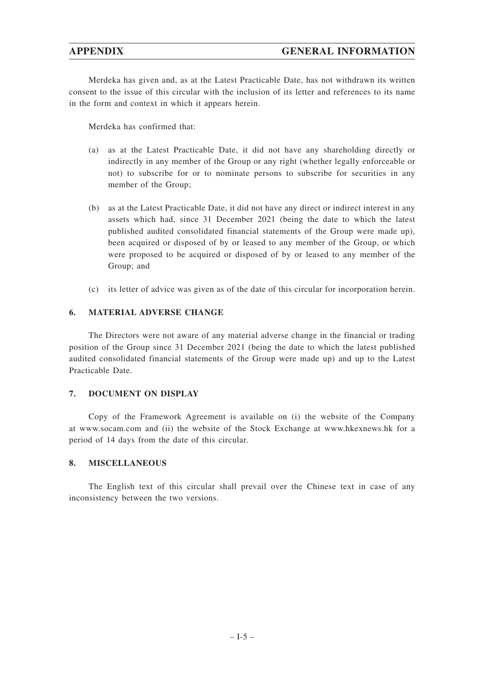## **APPENDIX GENERAL INFORMATION**

Merdeka has given and, as at the Latest Practicable Date, has not withdrawn its written consent to the issue of this circular with the inclusion of its letter and references to its name in the form and context in which it appears herein.

Merdeka has confirmed that:

- (a) as at the Latest Practicable Date, it did not have any shareholding directly or indirectly in any member of the Group or any right (whether legally enforceable or not) to subscribe for or to nominate persons to subscribe for securities in any member of the Group;
- (b) as at the Latest Practicable Date, it did not have any direct or indirect interest in any assets which had, since 31 December 2021 (being the date to which the latest published audited consolidated financial statements of the Group were made up), been acquired or disposed of by or leased to any member of the Group, or which were proposed to be acquired or disposed of by or leased to any member of the Group; and
- (c) its letter of advice was given as of the date of this circular for incorporation herein.

#### **6. MATERIAL ADVERSE CHANGE**

The Directors were not aware of any material adverse change in the financial or trading position of the Group since 31 December 2021 (being the date to which the latest published audited consolidated financial statements of the Group were made up) and up to the Latest Practicable Date.

#### **7. DOCUMENT ON DISPLAY**

Copy of the Framework Agreement is available on (i) the website of the Company at www.socam.com and (ii) the website of the Stock Exchange at www.hkexnews.hk for a period of 14 days from the date of this circular.

#### **8. MISCELLANEOUS**

The English text of this circular shall prevail over the Chinese text in case of any inconsistency between the two versions.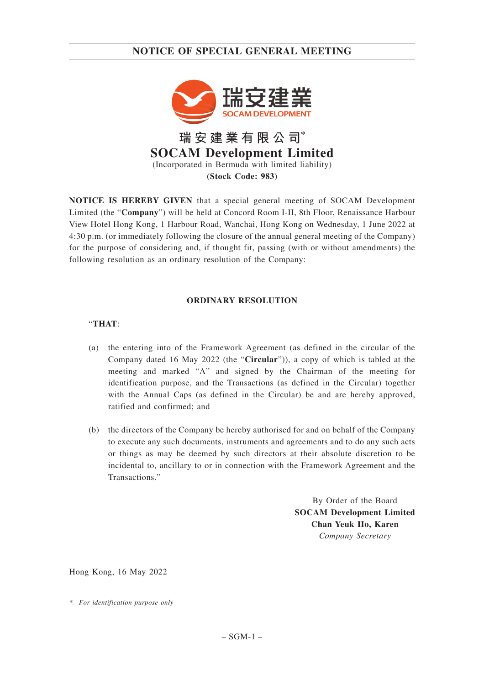## **NOTICE OF SPECIAL GENERAL MEETING**



**NOTICE IS HEREBY GIVEN** that a special general meeting of SOCAM Development Limited (the "**Company**") will be held at Concord Room I-II, 8th Floor, Renaissance Harbour View Hotel Hong Kong, 1 Harbour Road, Wanchai, Hong Kong on Wednesday, 1 June 2022 at 4:30 p.m. (or immediately following the closure of the annual general meeting of the Company) for the purpose of considering and, if thought fit, passing (with or without amendments) the following resolution as an ordinary resolution of the Company:

#### **ORDINARY RESOLUTION**

## "**THAT**:

- (a) the entering into of the Framework Agreement (as defined in the circular of the Company dated 16 May 2022 (the "**Circular**")), a copy of which is tabled at the meeting and marked "A" and signed by the Chairman of the meeting for identification purpose, and the Transactions (as defined in the Circular) together with the Annual Caps (as defined in the Circular) be and are hereby approved, ratified and confirmed; and
- (b) the directors of the Company be hereby authorised for and on behalf of the Company to execute any such documents, instruments and agreements and to do any such acts or things as may be deemed by such directors at their absolute discretion to be incidental to, ancillary to or in connection with the Framework Agreement and the Transactions."

By Order of the Board **SOCAM Development Limited Chan Yeuk Ho, Karen** *Company Secretary*

Hong Kong, 16 May 2022

*\* For identification purpose only*